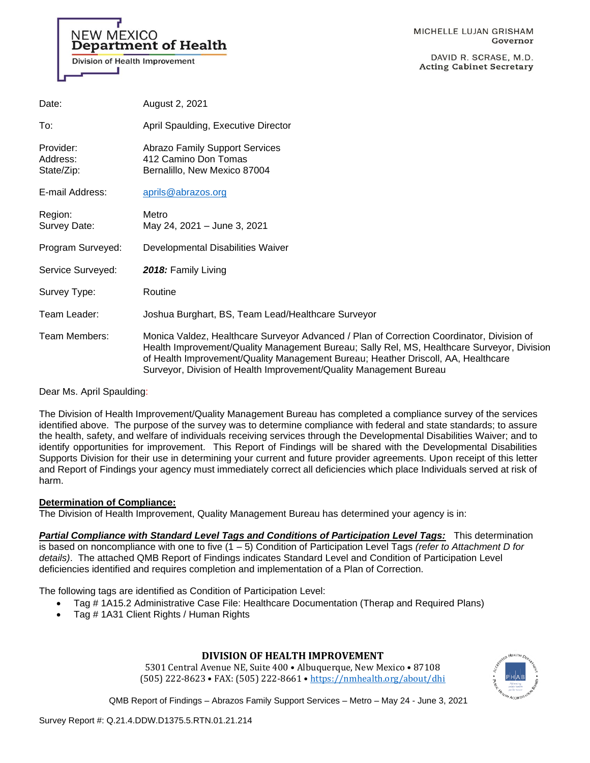# NEW MEXICO **Department of Health**

**Division of Health Improvement** 

MICHELLE LUJAN GRISHAM Governor

DAVID R. SCRASE, M.D. **Acting Cabinet Secretary** 

Healthcare Surveyor, Division

| Date:                               | August 2, 2021                                                                                                                                                                                                                                                                                                                                  |
|-------------------------------------|-------------------------------------------------------------------------------------------------------------------------------------------------------------------------------------------------------------------------------------------------------------------------------------------------------------------------------------------------|
| To:                                 | April Spaulding, Executive Director                                                                                                                                                                                                                                                                                                             |
| Provider:<br>Address:<br>State/Zip: | <b>Abrazo Family Support Services</b><br>412 Camino Don Tomas<br>Bernalillo, New Mexico 87004                                                                                                                                                                                                                                                   |
| E-mail Address:                     | aprils@abrazos.org                                                                                                                                                                                                                                                                                                                              |
| Region:<br>Survey Date:             | Metro<br>May 24, 2021 - June 3, 2021                                                                                                                                                                                                                                                                                                            |
| Program Surveyed:                   | Developmental Disabilities Waiver                                                                                                                                                                                                                                                                                                               |
| Service Surveyed:                   | 2018: Family Living                                                                                                                                                                                                                                                                                                                             |
| Survey Type:                        | Routine                                                                                                                                                                                                                                                                                                                                         |
| Team Leader:                        | Joshua Burghart, BS, Team Lead/Healthcare Surveyor                                                                                                                                                                                                                                                                                              |
| Team Members:                       | Monica Valdez, Healthcare Surveyor Advanced / Plan of Correction Coordinator, Division of<br>Health Improvement/Quality Management Bureau; Sally Rel, MS, Healthcare Surveyor, Divis<br>of Health Improvement/Quality Management Bureau; Heather Driscoll, AA, Healthcare<br>Surveyor, Division of Health Improvement/Quality Management Bureau |

Dear Ms. April Spaulding:

The Division of Health Improvement/Quality Management Bureau has completed a compliance survey of the services identified above. The purpose of the survey was to determine compliance with federal and state standards; to assure the health, safety, and welfare of individuals receiving services through the Developmental Disabilities Waiver; and to identify opportunities for improvement. This Report of Findings will be shared with the Developmental Disabilities Supports Division for their use in determining your current and future provider agreements. Upon receipt of this letter and Report of Findings your agency must immediately correct all deficiencies which place Individuals served at risk of harm.

#### **Determination of Compliance:**

The Division of Health Improvement, Quality Management Bureau has determined your agency is in:

*Partial Compliance with Standard Level Tags and Conditions of Participation Level Tags:* This determination is based on noncompliance with one to five (1 – 5) Condition of Participation Level Tags *(refer to Attachment D for* 

*details)*. The attached QMB Report of Findings indicates Standard Level and Condition of Participation Level deficiencies identified and requires completion and implementation of a Plan of Correction.

The following tags are identified as Condition of Participation Level:

- Tag # 1A15.2 Administrative Case File: Healthcare Documentation (Therap and Required Plans)
- Tag # 1A31 Client Rights / Human Rights

# **DIVISION OF HEALTH IMPROVEMENT**

5301 Central Avenue NE, Suite 400 • Albuquerque, New Mexico • 87108 (505) 222-8623 • FAX: (505) 222-8661 • <https://nmhealth.org/about/dhi>

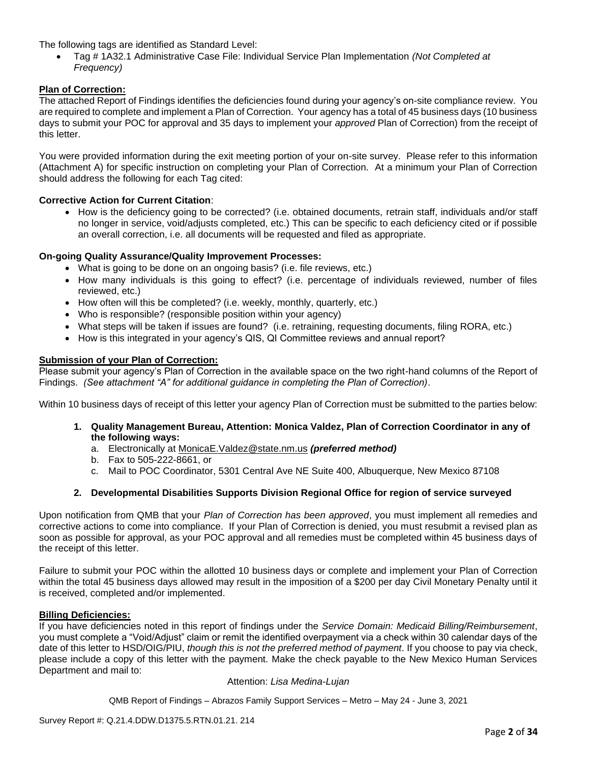The following tags are identified as Standard Level:

• Tag # 1A32.1 Administrative Case File: Individual Service Plan Implementation *(Not Completed at Frequency)*

### **Plan of Correction:**

The attached Report of Findings identifies the deficiencies found during your agency's on-site compliance review. You are required to complete and implement a Plan of Correction. Your agency has a total of 45 business days (10 business days to submit your POC for approval and 35 days to implement your *approved* Plan of Correction) from the receipt of this letter.

You were provided information during the exit meeting portion of your on-site survey. Please refer to this information (Attachment A) for specific instruction on completing your Plan of Correction. At a minimum your Plan of Correction should address the following for each Tag cited:

#### **Corrective Action for Current Citation**:

• How is the deficiency going to be corrected? (i.e. obtained documents, retrain staff, individuals and/or staff no longer in service, void/adjusts completed, etc.) This can be specific to each deficiency cited or if possible an overall correction, i.e. all documents will be requested and filed as appropriate.

#### **On-going Quality Assurance/Quality Improvement Processes:**

- What is going to be done on an ongoing basis? (i.e. file reviews, etc.)
- How many individuals is this going to effect? (i.e. percentage of individuals reviewed, number of files reviewed, etc.)
- How often will this be completed? (i.e. weekly, monthly, quarterly, etc.)
- Who is responsible? (responsible position within your agency)
- What steps will be taken if issues are found? (i.e. retraining, requesting documents, filing RORA, etc.)
- How is this integrated in your agency's QIS, QI Committee reviews and annual report?

#### **Submission of your Plan of Correction:**

Please submit your agency's Plan of Correction in the available space on the two right-hand columns of the Report of Findings. *(See attachment "A" for additional guidance in completing the Plan of Correction)*.

Within 10 business days of receipt of this letter your agency Plan of Correction must be submitted to the parties below:

- **1. Quality Management Bureau, Attention: Monica Valdez, Plan of Correction Coordinator in any of the following ways:**
	- a. Electronically at [MonicaE.Valdez@state.nm.us](mailto:MonicaE.Valdez@state.nm.us) *(preferred method)*
	- b. Fax to 505-222-8661, or
	- c. Mail to POC Coordinator, 5301 Central Ave NE Suite 400, Albuquerque, New Mexico 87108

#### **2. Developmental Disabilities Supports Division Regional Office for region of service surveyed**

Upon notification from QMB that your *Plan of Correction has been approved*, you must implement all remedies and corrective actions to come into compliance. If your Plan of Correction is denied, you must resubmit a revised plan as soon as possible for approval, as your POC approval and all remedies must be completed within 45 business days of the receipt of this letter.

Failure to submit your POC within the allotted 10 business days or complete and implement your Plan of Correction within the total 45 business days allowed may result in the imposition of a \$200 per day Civil Monetary Penalty until it is received, completed and/or implemented.

#### **Billing Deficiencies:**

If you have deficiencies noted in this report of findings under the *Service Domain: Medicaid Billing/Reimbursement*, you must complete a "Void/Adjust" claim or remit the identified overpayment via a check within 30 calendar days of the date of this letter to HSD/OIG/PIU, *though this is not the preferred method of payment*. If you choose to pay via check, please include a copy of this letter with the payment. Make the check payable to the New Mexico Human Services Department and mail to:

#### Attention: *Lisa Medina-Lujan*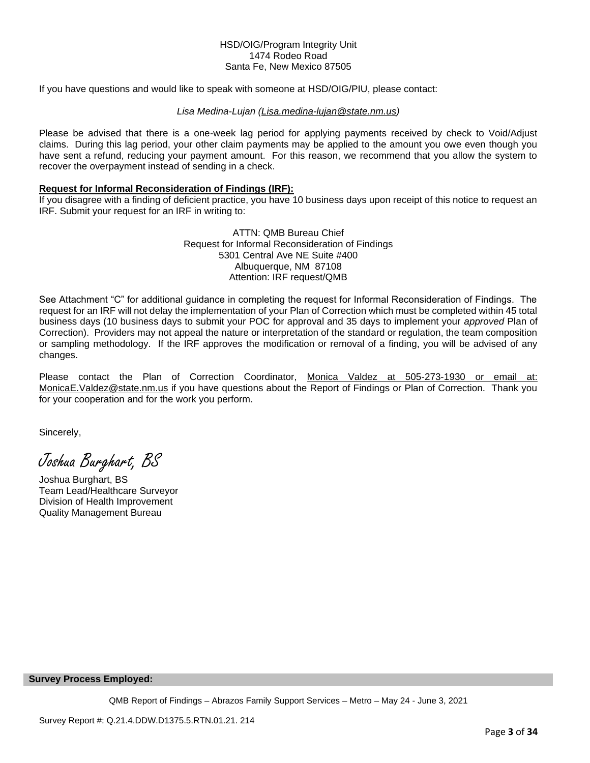#### HSD/OIG/Program Integrity Unit 1474 Rodeo Road Santa Fe, New Mexico 87505

If you have questions and would like to speak with someone at HSD/OIG/PIU, please contact:

#### *Lisa Medina-Lujan [\(Lisa.medina-lujan@state.nm.us\)](mailto:Lisa.medina-lujan@state.nm.us)*

Please be advised that there is a one-week lag period for applying payments received by check to Void/Adjust claims. During this lag period, your other claim payments may be applied to the amount you owe even though you have sent a refund, reducing your payment amount. For this reason, we recommend that you allow the system to recover the overpayment instead of sending in a check.

#### **Request for Informal Reconsideration of Findings (IRF):**

If you disagree with a finding of deficient practice, you have 10 business days upon receipt of this notice to request an IRF. Submit your request for an IRF in writing to:

> ATTN: QMB Bureau Chief Request for Informal Reconsideration of Findings 5301 Central Ave NE Suite #400 Albuquerque, NM 87108 Attention: IRF request/QMB

See Attachment "C" for additional guidance in completing the request for Informal Reconsideration of Findings. The request for an IRF will not delay the implementation of your Plan of Correction which must be completed within 45 total business days (10 business days to submit your POC for approval and 35 days to implement your *approved* Plan of Correction). Providers may not appeal the nature or interpretation of the standard or regulation, the team composition or sampling methodology. If the IRF approves the modification or removal of a finding, you will be advised of any changes.

Please contact the Plan of Correction Coordinator, Monica Valdez at 505-273-1930 or email at: [MonicaE.Valdez@state.nm.us](mailto:MonicaE.Valdez@state.nm.us) if you have questions about the Report of Findings or Plan of Correction. Thank you for your cooperation and for the work you perform.

Sincerely,

Joshua Burghart, BS

Joshua Burghart, BS Team Lead/Healthcare Surveyor Division of Health Improvement Quality Management Bureau

#### **Survey Process Employed:**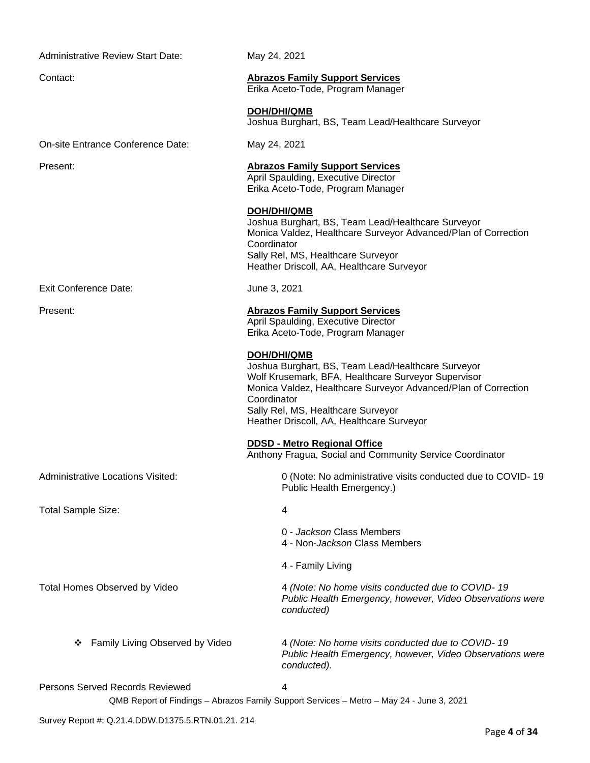Administrative Review Start Date: May 24, 2021

On-site Entrance Conference Date: May 24, 2021

Contact: **Abrazos Family Support Services** Erika Aceto-Tode, Program Manager

**DOH/DHI/QMB**

Joshua Burghart, BS, Team Lead/Healthcare Surveyor

# Present: **Abrazos Family Support Services**

April Spaulding, Executive Director Erika Aceto-Tode, Program Manager

**DOH/DHI/QMB** Joshua Burghart, BS, Team Lead/Healthcare Surveyor Monica Valdez, Healthcare Surveyor Advanced/Plan of Correction **Coordinator** Sally Rel, MS, Healthcare Surveyor

Heather Driscoll, AA, Healthcare Surveyor

Exit Conference Date: June 3, 2021

# Present: **Abrazos Family Support Services**

April Spaulding, Executive Director Erika Aceto-Tode, Program Manager

# **DOH/DHI/QMB**

Joshua Burghart, BS, Team Lead/Healthcare Surveyor Wolf Krusemark, BFA, Healthcare Surveyor Supervisor Monica Valdez, Healthcare Surveyor Advanced/Plan of Correction **Coordinator** Sally Rel, MS, Healthcare Surveyor Heather Driscoll, AA, Healthcare Surveyor

**DDSD - Metro Regional Office** 

4 - Family Living

Anthony Fragua, Social and Community Service Coordinator

Administrative Locations Visited: 0 (Note: No administrative visits conducted due to COVID- 19 Public Health Emergency.)

Total Sample Size: 4

Total Homes Observed by Video 4 *(Note: No home visits conducted due to COVID- 19 Public Health Emergency, however, Video Observations were conducted)*

0 - *Jackson* Class Members 4 - Non-*Jackson* Class Members

❖ Family Living Observed by Video 4 *(Note: No home visits conducted due to COVID- 19 Public Health Emergency, however, Video Observations were conducted).*

#### Persons Served Records Reviewed 4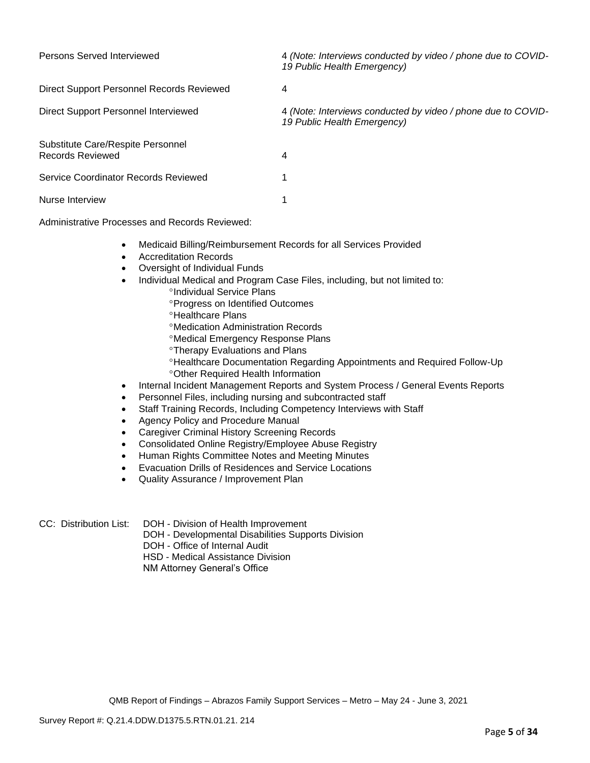| Persons Served Interviewed                                   | 4 (Note: Interviews conducted by video / phone due to COVID-<br>19 Public Health Emergency) |
|--------------------------------------------------------------|---------------------------------------------------------------------------------------------|
| Direct Support Personnel Records Reviewed                    | 4                                                                                           |
| Direct Support Personnel Interviewed                         | 4 (Note: Interviews conducted by video / phone due to COVID-<br>19 Public Health Emergency) |
| Substitute Care/Respite Personnel<br><b>Records Reviewed</b> | 4                                                                                           |
| Service Coordinator Records Reviewed                         |                                                                                             |
| Nurse Interview                                              |                                                                                             |

Administrative Processes and Records Reviewed:

- Medicaid Billing/Reimbursement Records for all Services Provided
- Accreditation Records
- Oversight of Individual Funds
- Individual Medical and Program Case Files, including, but not limited to:
	- <sup>o</sup>Individual Service Plans
	- **Progress on Identified Outcomes**
	- **<sup>o</sup>Healthcare Plans**
	- Medication Administration Records
	- Medical Emergency Response Plans
	- **Therapy Evaluations and Plans**
	- Healthcare Documentation Regarding Appointments and Required Follow-Up Other Required Health Information
- Internal Incident Management Reports and System Process / General Events Reports
- Personnel Files, including nursing and subcontracted staff
- Staff Training Records, Including Competency Interviews with Staff
- Agency Policy and Procedure Manual
- Caregiver Criminal History Screening Records
- Consolidated Online Registry/Employee Abuse Registry
- Human Rights Committee Notes and Meeting Minutes
- Evacuation Drills of Residences and Service Locations
- Quality Assurance / Improvement Plan
- 
- CC: Distribution List: DOH Division of Health Improvement
	- DOH Developmental Disabilities Supports Division
	- DOH Office of Internal Audit

HSD - Medical Assistance Division

NM Attorney General's Office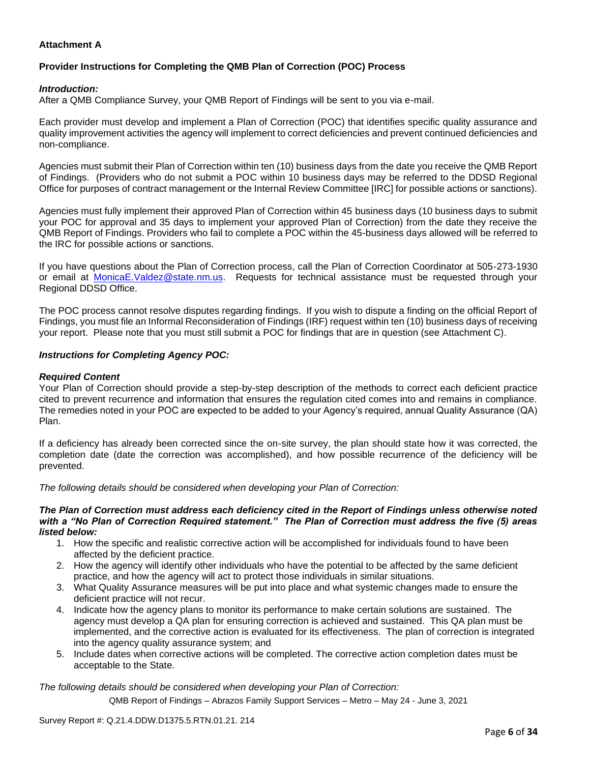# **Attachment A**

# **Provider Instructions for Completing the QMB Plan of Correction (POC) Process**

### *Introduction:*

After a QMB Compliance Survey, your QMB Report of Findings will be sent to you via e-mail.

Each provider must develop and implement a Plan of Correction (POC) that identifies specific quality assurance and quality improvement activities the agency will implement to correct deficiencies and prevent continued deficiencies and non-compliance.

Agencies must submit their Plan of Correction within ten (10) business days from the date you receive the QMB Report of Findings. (Providers who do not submit a POC within 10 business days may be referred to the DDSD Regional Office for purposes of contract management or the Internal Review Committee [IRC] for possible actions or sanctions).

Agencies must fully implement their approved Plan of Correction within 45 business days (10 business days to submit your POC for approval and 35 days to implement your approved Plan of Correction) from the date they receive the QMB Report of Findings. Providers who fail to complete a POC within the 45-business days allowed will be referred to the IRC for possible actions or sanctions.

If you have questions about the Plan of Correction process, call the Plan of Correction Coordinator at 505-273-1930 or email at [MonicaE.Valdez@state.nm.us.](mailto:MonicaE.Valdez@state.nm.us) Requests for technical assistance must be requested through your Regional DDSD Office.

The POC process cannot resolve disputes regarding findings. If you wish to dispute a finding on the official Report of Findings, you must file an Informal Reconsideration of Findings (IRF) request within ten (10) business days of receiving your report. Please note that you must still submit a POC for findings that are in question (see Attachment C).

#### *Instructions for Completing Agency POC:*

#### *Required Content*

Your Plan of Correction should provide a step-by-step description of the methods to correct each deficient practice cited to prevent recurrence and information that ensures the regulation cited comes into and remains in compliance. The remedies noted in your POC are expected to be added to your Agency's required, annual Quality Assurance (QA) Plan.

If a deficiency has already been corrected since the on-site survey, the plan should state how it was corrected, the completion date (date the correction was accomplished), and how possible recurrence of the deficiency will be prevented.

*The following details should be considered when developing your Plan of Correction:*

#### *The Plan of Correction must address each deficiency cited in the Report of Findings unless otherwise noted with a "No Plan of Correction Required statement." The Plan of Correction must address the five (5) areas listed below:*

- 1. How the specific and realistic corrective action will be accomplished for individuals found to have been affected by the deficient practice.
- 2. How the agency will identify other individuals who have the potential to be affected by the same deficient practice, and how the agency will act to protect those individuals in similar situations.
- 3. What Quality Assurance measures will be put into place and what systemic changes made to ensure the deficient practice will not recur.
- 4. Indicate how the agency plans to monitor its performance to make certain solutions are sustained. The agency must develop a QA plan for ensuring correction is achieved and sustained. This QA plan must be implemented, and the corrective action is evaluated for its effectiveness. The plan of correction is integrated into the agency quality assurance system; and
- 5. Include dates when corrective actions will be completed. The corrective action completion dates must be acceptable to the State.

*The following details should be considered when developing your Plan of Correction:*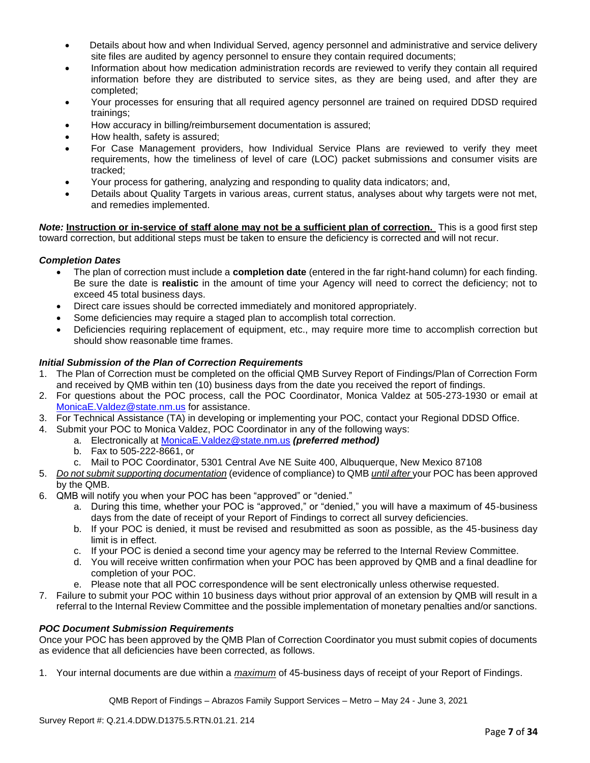- Details about how and when Individual Served, agency personnel and administrative and service delivery site files are audited by agency personnel to ensure they contain required documents;
- Information about how medication administration records are reviewed to verify they contain all required information before they are distributed to service sites, as they are being used, and after they are completed;
- Your processes for ensuring that all required agency personnel are trained on required DDSD required trainings;
- How accuracy in billing/reimbursement documentation is assured;
- How health, safety is assured;
- For Case Management providers, how Individual Service Plans are reviewed to verify they meet requirements, how the timeliness of level of care (LOC) packet submissions and consumer visits are tracked;
- Your process for gathering, analyzing and responding to quality data indicators; and,
- Details about Quality Targets in various areas, current status, analyses about why targets were not met, and remedies implemented.

*Note:* **Instruction or in-service of staff alone may not be a sufficient plan of correction.** This is a good first step toward correction, but additional steps must be taken to ensure the deficiency is corrected and will not recur.

### *Completion Dates*

- The plan of correction must include a **completion date** (entered in the far right-hand column) for each finding. Be sure the date is **realistic** in the amount of time your Agency will need to correct the deficiency; not to exceed 45 total business days.
- Direct care issues should be corrected immediately and monitored appropriately.
- Some deficiencies may require a staged plan to accomplish total correction.
- Deficiencies requiring replacement of equipment, etc., may require more time to accomplish correction but should show reasonable time frames.

### *Initial Submission of the Plan of Correction Requirements*

- 1. The Plan of Correction must be completed on the official QMB Survey Report of Findings/Plan of Correction Form and received by QMB within ten (10) business days from the date you received the report of findings.
- 2. For questions about the POC process, call the POC Coordinator, Monica Valdez at 505-273-1930 or email at [MonicaE.Valdez@state.nm.us](mailto:MonicaE.Valdez@state.nm.us) for assistance.
- 3. For Technical Assistance (TA) in developing or implementing your POC, contact your Regional DDSD Office.
- 4. Submit your POC to Monica Valdez, POC Coordinator in any of the following ways:
	- a. Electronically at [MonicaE.Valdez@state.nm.us](mailto:MonicaE.Valdez@state.nm.us) *(preferred method)*
		- b. Fax to 505-222-8661, or
		- c. Mail to POC Coordinator, 5301 Central Ave NE Suite 400, Albuquerque, New Mexico 87108
- 5. *Do not submit supporting documentation* (evidence of compliance) to QMB *until after* your POC has been approved by the QMB.
- 6. QMB will notify you when your POC has been "approved" or "denied."
	- a. During this time, whether your POC is "approved," or "denied," you will have a maximum of 45-business days from the date of receipt of your Report of Findings to correct all survey deficiencies.
	- b. If your POC is denied, it must be revised and resubmitted as soon as possible, as the 45-business day limit is in effect.
	- c. If your POC is denied a second time your agency may be referred to the Internal Review Committee.
	- d. You will receive written confirmation when your POC has been approved by QMB and a final deadline for completion of your POC.
	- e. Please note that all POC correspondence will be sent electronically unless otherwise requested.
- 7. Failure to submit your POC within 10 business days without prior approval of an extension by QMB will result in a referral to the Internal Review Committee and the possible implementation of monetary penalties and/or sanctions.

#### *POC Document Submission Requirements*

Once your POC has been approved by the QMB Plan of Correction Coordinator you must submit copies of documents as evidence that all deficiencies have been corrected, as follows.

1. Your internal documents are due within a *maximum* of 45-business days of receipt of your Report of Findings.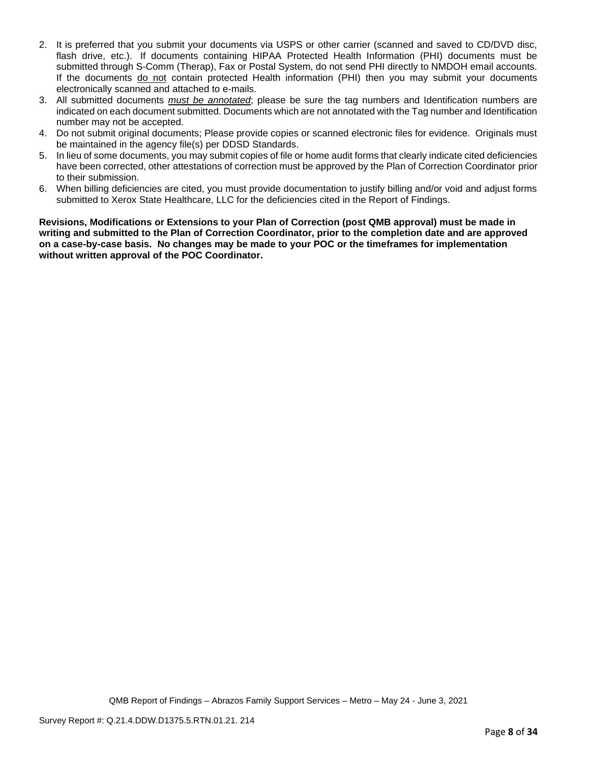- 2. It is preferred that you submit your documents via USPS or other carrier (scanned and saved to CD/DVD disc, flash drive, etc.). If documents containing HIPAA Protected Health Information (PHI) documents must be submitted through S-Comm (Therap), Fax or Postal System, do not send PHI directly to NMDOH email accounts. If the documents do not contain protected Health information (PHI) then you may submit your documents electronically scanned and attached to e-mails.
- 3. All submitted documents *must be annotated*; please be sure the tag numbers and Identification numbers are indicated on each document submitted. Documents which are not annotated with the Tag number and Identification number may not be accepted.
- 4. Do not submit original documents; Please provide copies or scanned electronic files for evidence. Originals must be maintained in the agency file(s) per DDSD Standards.
- 5. In lieu of some documents, you may submit copies of file or home audit forms that clearly indicate cited deficiencies have been corrected, other attestations of correction must be approved by the Plan of Correction Coordinator prior to their submission.
- 6. When billing deficiencies are cited, you must provide documentation to justify billing and/or void and adjust forms submitted to Xerox State Healthcare, LLC for the deficiencies cited in the Report of Findings.

**Revisions, Modifications or Extensions to your Plan of Correction (post QMB approval) must be made in writing and submitted to the Plan of Correction Coordinator, prior to the completion date and are approved on a case-by-case basis. No changes may be made to your POC or the timeframes for implementation without written approval of the POC Coordinator.**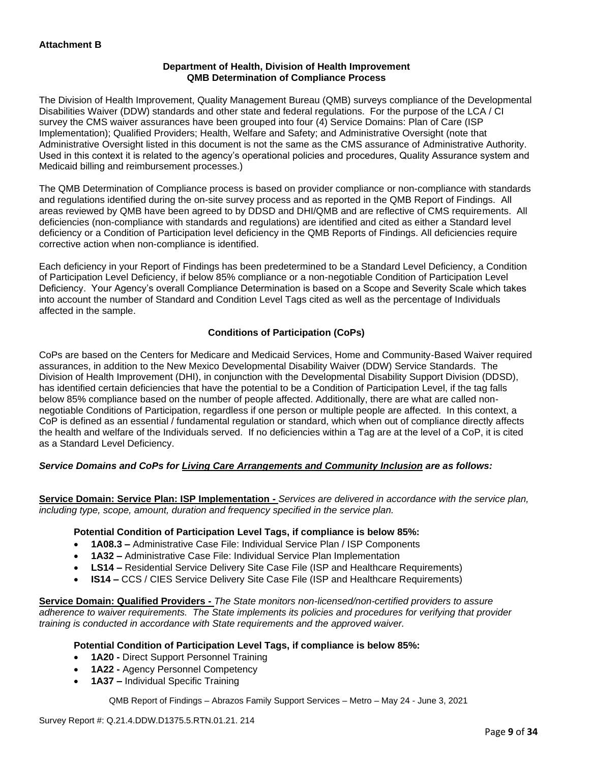### **Department of Health, Division of Health Improvement QMB Determination of Compliance Process**

The Division of Health Improvement, Quality Management Bureau (QMB) surveys compliance of the Developmental Disabilities Waiver (DDW) standards and other state and federal regulations. For the purpose of the LCA / CI survey the CMS waiver assurances have been grouped into four (4) Service Domains: Plan of Care (ISP Implementation); Qualified Providers; Health, Welfare and Safety; and Administrative Oversight (note that Administrative Oversight listed in this document is not the same as the CMS assurance of Administrative Authority. Used in this context it is related to the agency's operational policies and procedures, Quality Assurance system and Medicaid billing and reimbursement processes.)

The QMB Determination of Compliance process is based on provider compliance or non-compliance with standards and regulations identified during the on-site survey process and as reported in the QMB Report of Findings. All areas reviewed by QMB have been agreed to by DDSD and DHI/QMB and are reflective of CMS requirements. All deficiencies (non-compliance with standards and regulations) are identified and cited as either a Standard level deficiency or a Condition of Participation level deficiency in the QMB Reports of Findings. All deficiencies require corrective action when non-compliance is identified.

Each deficiency in your Report of Findings has been predetermined to be a Standard Level Deficiency, a Condition of Participation Level Deficiency, if below 85% compliance or a non-negotiable Condition of Participation Level Deficiency. Your Agency's overall Compliance Determination is based on a Scope and Severity Scale which takes into account the number of Standard and Condition Level Tags cited as well as the percentage of Individuals affected in the sample.

# **Conditions of Participation (CoPs)**

CoPs are based on the Centers for Medicare and Medicaid Services, Home and Community-Based Waiver required assurances, in addition to the New Mexico Developmental Disability Waiver (DDW) Service Standards. The Division of Health Improvement (DHI), in conjunction with the Developmental Disability Support Division (DDSD), has identified certain deficiencies that have the potential to be a Condition of Participation Level, if the tag falls below 85% compliance based on the number of people affected. Additionally, there are what are called nonnegotiable Conditions of Participation, regardless if one person or multiple people are affected. In this context, a CoP is defined as an essential / fundamental regulation or standard, which when out of compliance directly affects the health and welfare of the Individuals served. If no deficiencies within a Tag are at the level of a CoP, it is cited as a Standard Level Deficiency.

# *Service Domains and CoPs for Living Care Arrangements and Community Inclusion are as follows:*

**Service Domain: Service Plan: ISP Implementation -** *Services are delivered in accordance with the service plan, including type, scope, amount, duration and frequency specified in the service plan.*

#### **Potential Condition of Participation Level Tags, if compliance is below 85%:**

- **1A08.3 –** Administrative Case File: Individual Service Plan / ISP Components
- **1A32 –** Administrative Case File: Individual Service Plan Implementation
- **LS14 –** Residential Service Delivery Site Case File (ISP and Healthcare Requirements)
- **IS14 –** CCS / CIES Service Delivery Site Case File (ISP and Healthcare Requirements)

**Service Domain: Qualified Providers -** *The State monitors non-licensed/non-certified providers to assure adherence to waiver requirements. The State implements its policies and procedures for verifying that provider training is conducted in accordance with State requirements and the approved waiver.*

#### **Potential Condition of Participation Level Tags, if compliance is below 85%:**

- **1A20 -** Direct Support Personnel Training
- **1A22 -** Agency Personnel Competency
- **1A37 –** Individual Specific Training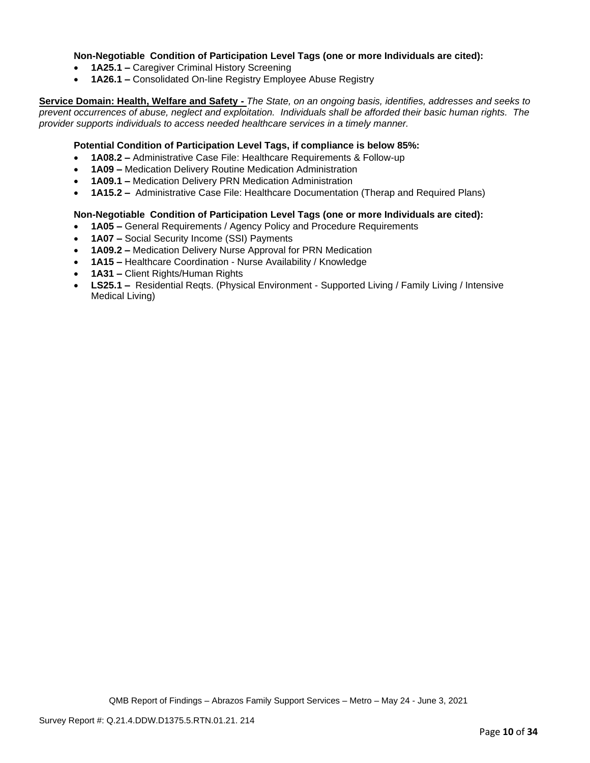### **Non-Negotiable Condition of Participation Level Tags (one or more Individuals are cited):**

- **1A25.1 –** Caregiver Criminal History Screening
- **1A26.1 –** Consolidated On-line Registry Employee Abuse Registry

**Service Domain: Health, Welfare and Safety -** *The State, on an ongoing basis, identifies, addresses and seeks to prevent occurrences of abuse, neglect and exploitation. Individuals shall be afforded their basic human rights. The provider supports individuals to access needed healthcare services in a timely manner.*

### **Potential Condition of Participation Level Tags, if compliance is below 85%:**

- **1A08.2 –** Administrative Case File: Healthcare Requirements & Follow-up
- **1A09 –** Medication Delivery Routine Medication Administration
- **1A09.1 –** Medication Delivery PRN Medication Administration
- **1A15.2 –** Administrative Case File: Healthcare Documentation (Therap and Required Plans)

#### **Non-Negotiable Condition of Participation Level Tags (one or more Individuals are cited):**

- **1A05 –** General Requirements / Agency Policy and Procedure Requirements
- **1A07 –** Social Security Income (SSI) Payments
- **1A09.2 –** Medication Delivery Nurse Approval for PRN Medication
- **1A15 –** Healthcare Coordination Nurse Availability / Knowledge
- **1A31 –** Client Rights/Human Rights
- **LS25.1 –** Residential Reqts. (Physical Environment Supported Living / Family Living / Intensive Medical Living)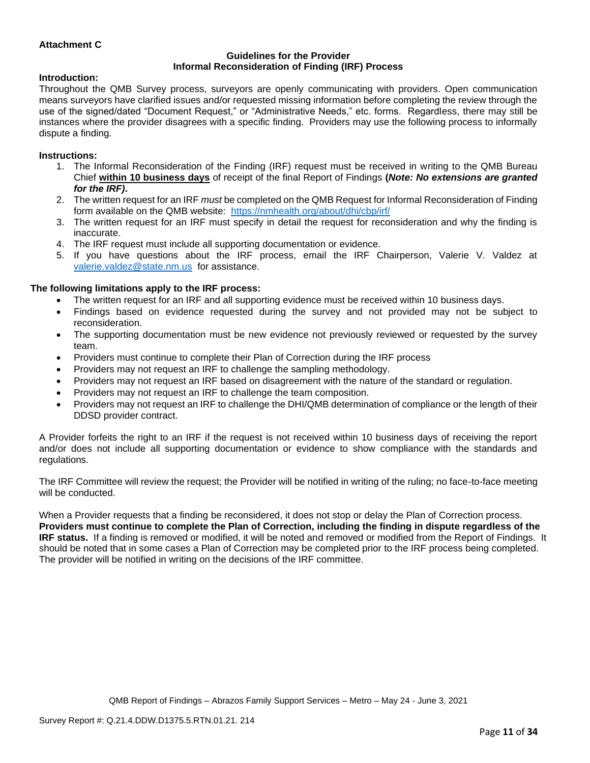### **Attachment C**

#### **Guidelines for the Provider Informal Reconsideration of Finding (IRF) Process**

#### **Introduction:**

Throughout the QMB Survey process, surveyors are openly communicating with providers. Open communication means surveyors have clarified issues and/or requested missing information before completing the review through the use of the signed/dated "Document Request," or "Administrative Needs," etc. forms. Regardless, there may still be instances where the provider disagrees with a specific finding. Providers may use the following process to informally dispute a finding.

#### **Instructions:**

- 1. The Informal Reconsideration of the Finding (IRF) request must be received in writing to the QMB Bureau Chief **within 10 business days** of receipt of the final Report of Findings **(***Note: No extensions are granted for the IRF)***.**
- 2. The written request for an IRF *must* be completed on the QMB Request for Informal Reconsideration of Finding form available on the QMB website: <https://nmhealth.org/about/dhi/cbp/irf/>
- 3. The written request for an IRF must specify in detail the request for reconsideration and why the finding is inaccurate.
- 4. The IRF request must include all supporting documentation or evidence.
- 5. If you have questions about the IRF process, email the IRF Chairperson, Valerie V. Valdez at [valerie.valdez@state.nm.us](mailto:valerie.valdez@state.nm.us) for assistance.

#### **The following limitations apply to the IRF process:**

- The written request for an IRF and all supporting evidence must be received within 10 business days.
- Findings based on evidence requested during the survey and not provided may not be subject to reconsideration.
- The supporting documentation must be new evidence not previously reviewed or requested by the survey team.
- Providers must continue to complete their Plan of Correction during the IRF process
- Providers may not request an IRF to challenge the sampling methodology.
- Providers may not request an IRF based on disagreement with the nature of the standard or regulation.
- Providers may not request an IRF to challenge the team composition.
- Providers may not request an IRF to challenge the DHI/QMB determination of compliance or the length of their DDSD provider contract.

A Provider forfeits the right to an IRF if the request is not received within 10 business days of receiving the report and/or does not include all supporting documentation or evidence to show compliance with the standards and regulations.

The IRF Committee will review the request; the Provider will be notified in writing of the ruling; no face-to-face meeting will be conducted.

When a Provider requests that a finding be reconsidered, it does not stop or delay the Plan of Correction process. **Providers must continue to complete the Plan of Correction, including the finding in dispute regardless of the IRF status.** If a finding is removed or modified, it will be noted and removed or modified from the Report of Findings. It should be noted that in some cases a Plan of Correction may be completed prior to the IRF process being completed. The provider will be notified in writing on the decisions of the IRF committee.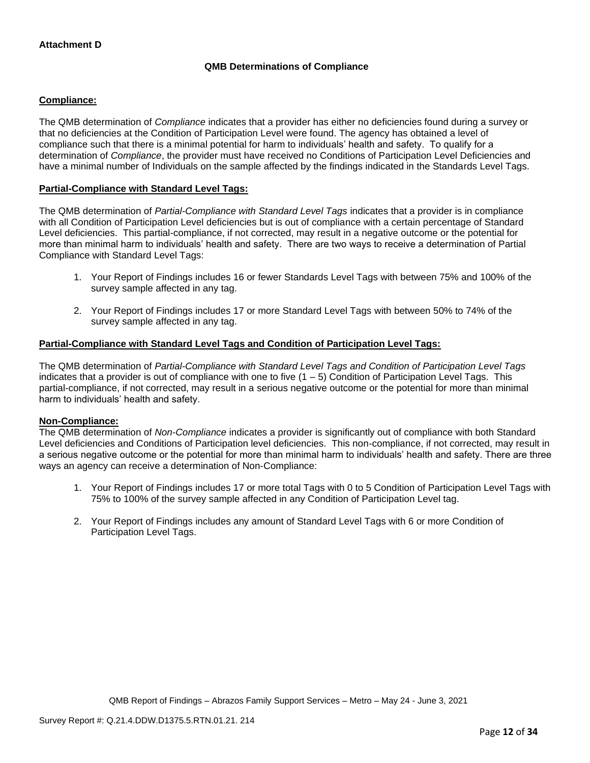# **QMB Determinations of Compliance**

### **Compliance:**

The QMB determination of *Compliance* indicates that a provider has either no deficiencies found during a survey or that no deficiencies at the Condition of Participation Level were found. The agency has obtained a level of compliance such that there is a minimal potential for harm to individuals' health and safety. To qualify for a determination of *Compliance*, the provider must have received no Conditions of Participation Level Deficiencies and have a minimal number of Individuals on the sample affected by the findings indicated in the Standards Level Tags.

### **Partial-Compliance with Standard Level Tags:**

The QMB determination of *Partial-Compliance with Standard Level Tags* indicates that a provider is in compliance with all Condition of Participation Level deficiencies but is out of compliance with a certain percentage of Standard Level deficiencies. This partial-compliance, if not corrected, may result in a negative outcome or the potential for more than minimal harm to individuals' health and safety. There are two ways to receive a determination of Partial Compliance with Standard Level Tags:

- 1. Your Report of Findings includes 16 or fewer Standards Level Tags with between 75% and 100% of the survey sample affected in any tag.
- 2. Your Report of Findings includes 17 or more Standard Level Tags with between 50% to 74% of the survey sample affected in any tag.

# **Partial-Compliance with Standard Level Tags and Condition of Participation Level Tags:**

The QMB determination of *Partial-Compliance with Standard Level Tags and Condition of Participation Level Tags*  indicates that a provider is out of compliance with one to five  $(1 - 5)$  Condition of Participation Level Tags. This partial-compliance, if not corrected, may result in a serious negative outcome or the potential for more than minimal harm to individuals' health and safety.

#### **Non-Compliance:**

The QMB determination of *Non-Compliance* indicates a provider is significantly out of compliance with both Standard Level deficiencies and Conditions of Participation level deficiencies. This non-compliance, if not corrected, may result in a serious negative outcome or the potential for more than minimal harm to individuals' health and safety. There are three ways an agency can receive a determination of Non-Compliance:

- 1. Your Report of Findings includes 17 or more total Tags with 0 to 5 Condition of Participation Level Tags with 75% to 100% of the survey sample affected in any Condition of Participation Level tag.
- 2. Your Report of Findings includes any amount of Standard Level Tags with 6 or more Condition of Participation Level Tags.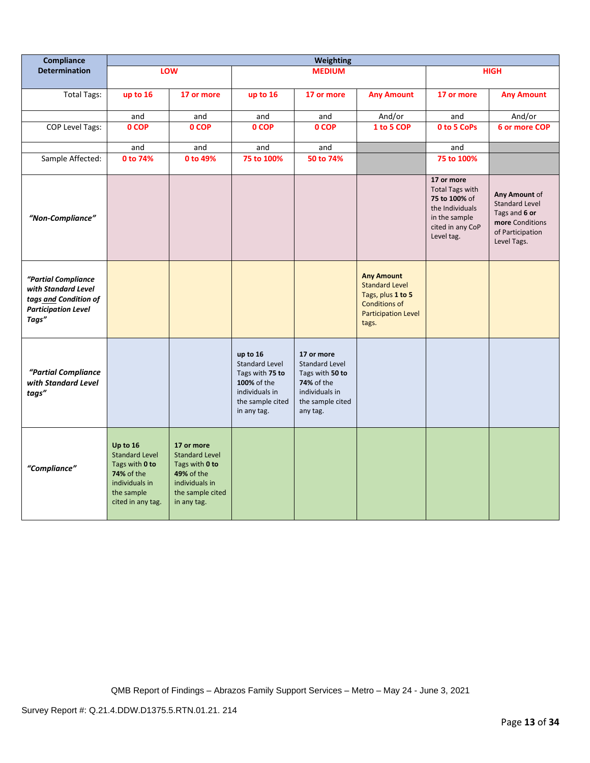| Compliance                                                                                                 | Weighting                                                                                                                     |                                                                                                                                 |                                                                                                                          |                                                                                                                        |                                                                                                                                |                                                                                                                             |                                                                                                               |
|------------------------------------------------------------------------------------------------------------|-------------------------------------------------------------------------------------------------------------------------------|---------------------------------------------------------------------------------------------------------------------------------|--------------------------------------------------------------------------------------------------------------------------|------------------------------------------------------------------------------------------------------------------------|--------------------------------------------------------------------------------------------------------------------------------|-----------------------------------------------------------------------------------------------------------------------------|---------------------------------------------------------------------------------------------------------------|
| <b>Determination</b>                                                                                       |                                                                                                                               | <b>LOW</b>                                                                                                                      |                                                                                                                          | <b>MEDIUM</b>                                                                                                          |                                                                                                                                |                                                                                                                             | <b>HIGH</b>                                                                                                   |
| <b>Total Tags:</b>                                                                                         | up to 16                                                                                                                      | 17 or more                                                                                                                      | up to 16                                                                                                                 | 17 or more                                                                                                             | <b>Any Amount</b>                                                                                                              | 17 or more                                                                                                                  | <b>Any Amount</b>                                                                                             |
|                                                                                                            | and                                                                                                                           | and                                                                                                                             | and                                                                                                                      | and                                                                                                                    | And/or                                                                                                                         | and                                                                                                                         | And/or                                                                                                        |
| COP Level Tags:                                                                                            | 0 COP                                                                                                                         | 0 COP                                                                                                                           | 0 COP                                                                                                                    | 0 COP                                                                                                                  | 1 to 5 COP                                                                                                                     | 0 to 5 CoPs                                                                                                                 | 6 or more COP                                                                                                 |
|                                                                                                            | and                                                                                                                           | and                                                                                                                             | and                                                                                                                      | and                                                                                                                    |                                                                                                                                | and                                                                                                                         |                                                                                                               |
| Sample Affected:                                                                                           | 0 to 74%                                                                                                                      | 0 to 49%                                                                                                                        | 75 to 100%                                                                                                               | 50 to 74%                                                                                                              |                                                                                                                                | 75 to 100%                                                                                                                  |                                                                                                               |
| "Non-Compliance"                                                                                           |                                                                                                                               |                                                                                                                                 |                                                                                                                          |                                                                                                                        |                                                                                                                                | 17 or more<br><b>Total Tags with</b><br>75 to 100% of<br>the Individuals<br>in the sample<br>cited in any CoP<br>Level tag. | Any Amount of<br><b>Standard Level</b><br>Tags and 6 or<br>more Conditions<br>of Participation<br>Level Tags. |
| "Partial Compliance<br>with Standard Level<br>tags and Condition of<br><b>Participation Level</b><br>Tags" |                                                                                                                               |                                                                                                                                 |                                                                                                                          |                                                                                                                        | <b>Any Amount</b><br><b>Standard Level</b><br>Tags, plus 1 to 5<br><b>Conditions of</b><br><b>Participation Level</b><br>tags. |                                                                                                                             |                                                                                                               |
| "Partial Compliance<br>with Standard Level<br>tags"                                                        |                                                                                                                               |                                                                                                                                 | up to 16<br><b>Standard Level</b><br>Tags with 75 to<br>100% of the<br>individuals in<br>the sample cited<br>in any tag. | 17 or more<br><b>Standard Level</b><br>Tags with 50 to<br>74% of the<br>individuals in<br>the sample cited<br>any tag. |                                                                                                                                |                                                                                                                             |                                                                                                               |
| "Compliance"                                                                                               | Up to 16<br><b>Standard Level</b><br>Tags with 0 to<br><b>74% of the</b><br>individuals in<br>the sample<br>cited in any tag. | 17 or more<br><b>Standard Level</b><br>Tags with 0 to<br><b>49% of the</b><br>individuals in<br>the sample cited<br>in any tag. |                                                                                                                          |                                                                                                                        |                                                                                                                                |                                                                                                                             |                                                                                                               |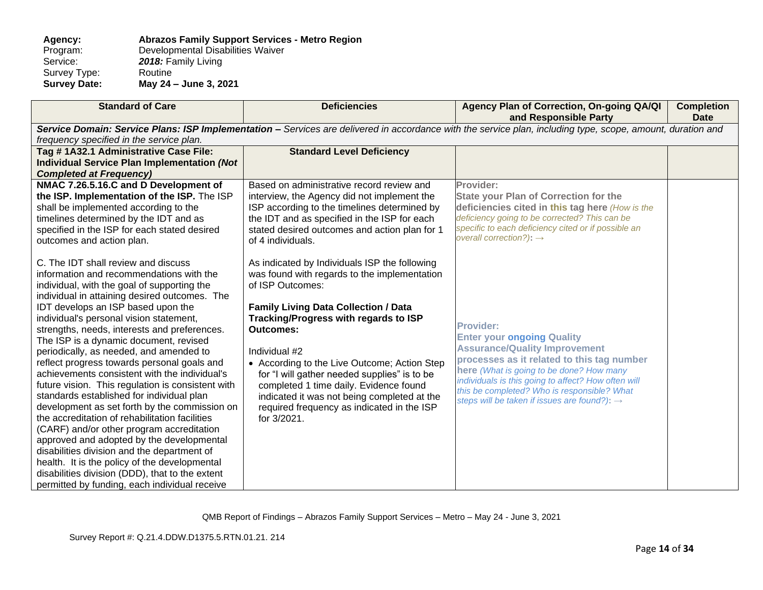#### **Agency: Abrazos Family Support Services - Metro Region** Program: Developmental Disabilities Waiver<br>Service: 2018: Family Living 2018: Family Living<br>Routine Survey Type:<br>Survey Date: **Survey Date: May 24 – June 3, 2021**

| <b>Standard of Care</b>                                                                                                                                                                                                                                                                                                                                                                                                                                                                                                                                                                                                                                                                                                                                                                                                                                                                                                                                                                                  | <b>Deficiencies</b>                                                                                                                                                                                                                                                                                                                                                                                                                                                                                  | Agency Plan of Correction, On-going QA/QI<br>and Responsible Party                                                                                                                                                                                                                                                                                        | <b>Completion</b><br><b>Date</b> |  |  |  |
|----------------------------------------------------------------------------------------------------------------------------------------------------------------------------------------------------------------------------------------------------------------------------------------------------------------------------------------------------------------------------------------------------------------------------------------------------------------------------------------------------------------------------------------------------------------------------------------------------------------------------------------------------------------------------------------------------------------------------------------------------------------------------------------------------------------------------------------------------------------------------------------------------------------------------------------------------------------------------------------------------------|------------------------------------------------------------------------------------------------------------------------------------------------------------------------------------------------------------------------------------------------------------------------------------------------------------------------------------------------------------------------------------------------------------------------------------------------------------------------------------------------------|-----------------------------------------------------------------------------------------------------------------------------------------------------------------------------------------------------------------------------------------------------------------------------------------------------------------------------------------------------------|----------------------------------|--|--|--|
| frequency specified in the service plan.                                                                                                                                                                                                                                                                                                                                                                                                                                                                                                                                                                                                                                                                                                                                                                                                                                                                                                                                                                 | Service Domain: Service Plans: ISP Implementation - Services are delivered in accordance with the service plan, including type, scope, amount, duration and                                                                                                                                                                                                                                                                                                                                          |                                                                                                                                                                                                                                                                                                                                                           |                                  |  |  |  |
| Tag #1A32.1 Administrative Case File:<br><b>Individual Service Plan Implementation (Not</b><br><b>Completed at Frequency)</b>                                                                                                                                                                                                                                                                                                                                                                                                                                                                                                                                                                                                                                                                                                                                                                                                                                                                            | <b>Standard Level Deficiency</b>                                                                                                                                                                                                                                                                                                                                                                                                                                                                     |                                                                                                                                                                                                                                                                                                                                                           |                                  |  |  |  |
| NMAC 7.26.5.16.C and D Development of<br>the ISP. Implementation of the ISP. The ISP<br>shall be implemented according to the<br>timelines determined by the IDT and as<br>specified in the ISP for each stated desired<br>outcomes and action plan.                                                                                                                                                                                                                                                                                                                                                                                                                                                                                                                                                                                                                                                                                                                                                     | Based on administrative record review and<br>interview, the Agency did not implement the<br>ISP according to the timelines determined by<br>the IDT and as specified in the ISP for each<br>stated desired outcomes and action plan for 1<br>of 4 individuals.                                                                                                                                                                                                                                       | Provider:<br><b>State your Plan of Correction for the</b><br>deficiencies cited in this tag here (How is the<br>deficiency going to be corrected? This can be<br>specific to each deficiency cited or if possible an<br>overall correction?): $\rightarrow$                                                                                               |                                  |  |  |  |
| C. The IDT shall review and discuss<br>information and recommendations with the<br>individual, with the goal of supporting the<br>individual in attaining desired outcomes. The<br>IDT develops an ISP based upon the<br>individual's personal vision statement,<br>strengths, needs, interests and preferences.<br>The ISP is a dynamic document, revised<br>periodically, as needed, and amended to<br>reflect progress towards personal goals and<br>achievements consistent with the individual's<br>future vision. This regulation is consistent with<br>standards established for individual plan<br>development as set forth by the commission on<br>the accreditation of rehabilitation facilities<br>(CARF) and/or other program accreditation<br>approved and adopted by the developmental<br>disabilities division and the department of<br>health. It is the policy of the developmental<br>disabilities division (DDD), that to the extent<br>permitted by funding, each individual receive | As indicated by Individuals ISP the following<br>was found with regards to the implementation<br>of ISP Outcomes:<br><b>Family Living Data Collection / Data</b><br>Tracking/Progress with regards to ISP<br><b>Outcomes:</b><br>Individual #2<br>• According to the Live Outcome; Action Step<br>for "I will gather needed supplies" is to be<br>completed 1 time daily. Evidence found<br>indicated it was not being completed at the<br>required frequency as indicated in the ISP<br>for 3/2021. | <b>Provider:</b><br><b>Enter your ongoing Quality</b><br><b>Assurance/Quality Improvement</b><br>processes as it related to this tag number<br>here (What is going to be done? How many<br>individuals is this going to affect? How often will<br>this be completed? Who is responsible? What<br>steps will be taken if issues are found?): $\rightarrow$ |                                  |  |  |  |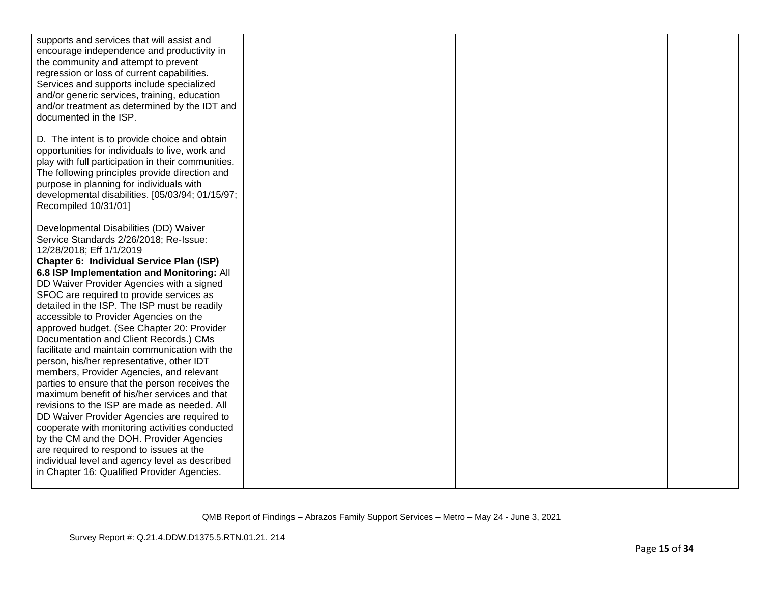| supports and services that will assist and<br>encourage independence and productivity in<br>the community and attempt to prevent<br>regression or loss of current capabilities.<br>Services and supports include specialized<br>and/or generic services, training, education<br>and/or treatment as determined by the IDT and<br>documented in the ISP.                                                                                                                                                                                                                                                                                                                                                                                                                                                                                                                                                                                                                                                                                                                  |  |  |
|--------------------------------------------------------------------------------------------------------------------------------------------------------------------------------------------------------------------------------------------------------------------------------------------------------------------------------------------------------------------------------------------------------------------------------------------------------------------------------------------------------------------------------------------------------------------------------------------------------------------------------------------------------------------------------------------------------------------------------------------------------------------------------------------------------------------------------------------------------------------------------------------------------------------------------------------------------------------------------------------------------------------------------------------------------------------------|--|--|
| D. The intent is to provide choice and obtain<br>opportunities for individuals to live, work and<br>play with full participation in their communities.<br>The following principles provide direction and<br>purpose in planning for individuals with<br>developmental disabilities. [05/03/94; 01/15/97;<br>Recompiled 10/31/01]                                                                                                                                                                                                                                                                                                                                                                                                                                                                                                                                                                                                                                                                                                                                         |  |  |
| Developmental Disabilities (DD) Waiver<br>Service Standards 2/26/2018; Re-Issue:<br>12/28/2018; Eff 1/1/2019<br>Chapter 6: Individual Service Plan (ISP)<br>6.8 ISP Implementation and Monitoring: All<br>DD Waiver Provider Agencies with a signed<br>SFOC are required to provide services as<br>detailed in the ISP. The ISP must be readily<br>accessible to Provider Agencies on the<br>approved budget. (See Chapter 20: Provider<br>Documentation and Client Records.) CMs<br>facilitate and maintain communication with the<br>person, his/her representative, other IDT<br>members, Provider Agencies, and relevant<br>parties to ensure that the person receives the<br>maximum benefit of his/her services and that<br>revisions to the ISP are made as needed. All<br>DD Waiver Provider Agencies are required to<br>cooperate with monitoring activities conducted<br>by the CM and the DOH. Provider Agencies<br>are required to respond to issues at the<br>individual level and agency level as described<br>in Chapter 16: Qualified Provider Agencies. |  |  |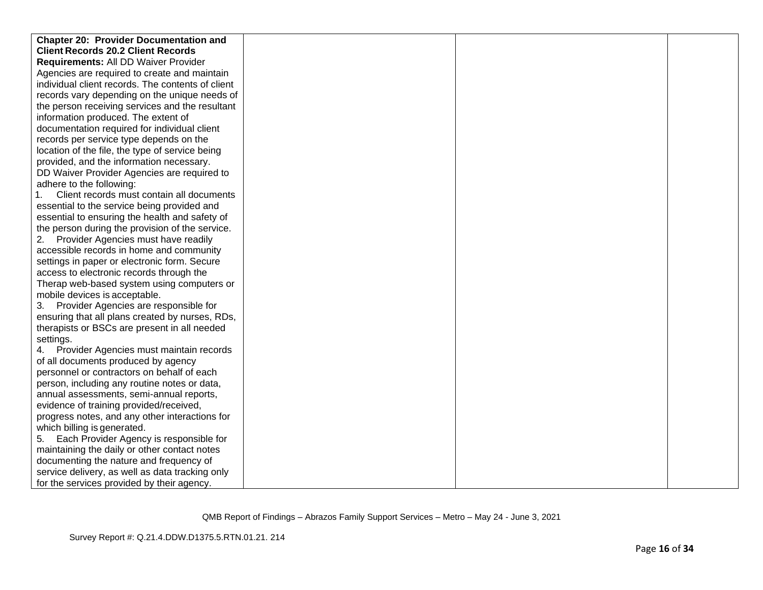| <b>Chapter 20: Provider Documentation and</b>     |  |  |
|---------------------------------------------------|--|--|
| <b>Client Records 20.2 Client Records</b>         |  |  |
| Requirements: All DD Waiver Provider              |  |  |
| Agencies are required to create and maintain      |  |  |
| individual client records. The contents of client |  |  |
| records vary depending on the unique needs of     |  |  |
| the person receiving services and the resultant   |  |  |
| information produced. The extent of               |  |  |
| documentation required for individual client      |  |  |
| records per service type depends on the           |  |  |
| location of the file, the type of service being   |  |  |
| provided, and the information necessary.          |  |  |
| DD Waiver Provider Agencies are required to       |  |  |
| adhere to the following:                          |  |  |
| Client records must contain all documents         |  |  |
| essential to the service being provided and       |  |  |
| essential to ensuring the health and safety of    |  |  |
| the person during the provision of the service.   |  |  |
| Provider Agencies must have readily               |  |  |
| accessible records in home and community          |  |  |
| settings in paper or electronic form. Secure      |  |  |
| access to electronic records through the          |  |  |
| Therap web-based system using computers or        |  |  |
| mobile devices is acceptable.                     |  |  |
| Provider Agencies are responsible for<br>3.       |  |  |
| ensuring that all plans created by nurses, RDs,   |  |  |
| therapists or BSCs are present in all needed      |  |  |
| settings.                                         |  |  |
| 4. Provider Agencies must maintain records        |  |  |
| of all documents produced by agency               |  |  |
| personnel or contractors on behalf of each        |  |  |
| person, including any routine notes or data,      |  |  |
| annual assessments, semi-annual reports,          |  |  |
| evidence of training provided/received,           |  |  |
| progress notes, and any other interactions for    |  |  |
| which billing is generated.                       |  |  |
| Each Provider Agency is responsible for<br>5.     |  |  |
| maintaining the daily or other contact notes      |  |  |
| documenting the nature and frequency of           |  |  |
| service delivery, as well as data tracking only   |  |  |
| for the services provided by their agency.        |  |  |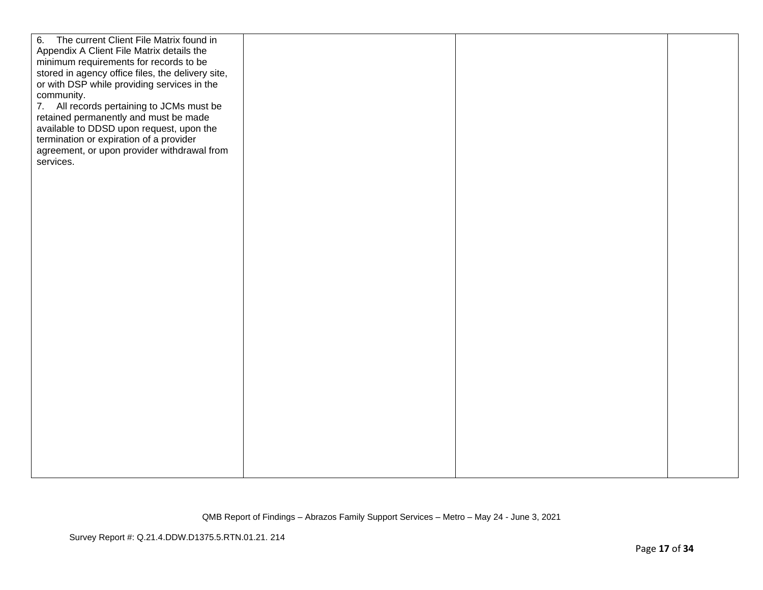| minimum requirements for records to be<br>stored in agency office files, the delivery site,<br>or with DSP while providing services in the<br>community.<br>7. All records pertaining to JCMs must be<br>retained permanently and must be made<br>available to DDSD upon request, upon the<br>termination or expiration of a provider<br>agreement, or upon provider withdrawal from<br>services. | The current Client File Matrix found in<br>6.<br>Appendix A Client File Matrix details the |  |  |
|---------------------------------------------------------------------------------------------------------------------------------------------------------------------------------------------------------------------------------------------------------------------------------------------------------------------------------------------------------------------------------------------------|--------------------------------------------------------------------------------------------|--|--|
|                                                                                                                                                                                                                                                                                                                                                                                                   |                                                                                            |  |  |
|                                                                                                                                                                                                                                                                                                                                                                                                   |                                                                                            |  |  |
|                                                                                                                                                                                                                                                                                                                                                                                                   |                                                                                            |  |  |
|                                                                                                                                                                                                                                                                                                                                                                                                   |                                                                                            |  |  |
|                                                                                                                                                                                                                                                                                                                                                                                                   |                                                                                            |  |  |
|                                                                                                                                                                                                                                                                                                                                                                                                   |                                                                                            |  |  |
|                                                                                                                                                                                                                                                                                                                                                                                                   |                                                                                            |  |  |
|                                                                                                                                                                                                                                                                                                                                                                                                   |                                                                                            |  |  |
|                                                                                                                                                                                                                                                                                                                                                                                                   |                                                                                            |  |  |
|                                                                                                                                                                                                                                                                                                                                                                                                   |                                                                                            |  |  |
|                                                                                                                                                                                                                                                                                                                                                                                                   |                                                                                            |  |  |
|                                                                                                                                                                                                                                                                                                                                                                                                   |                                                                                            |  |  |
|                                                                                                                                                                                                                                                                                                                                                                                                   |                                                                                            |  |  |
|                                                                                                                                                                                                                                                                                                                                                                                                   |                                                                                            |  |  |
|                                                                                                                                                                                                                                                                                                                                                                                                   |                                                                                            |  |  |
|                                                                                                                                                                                                                                                                                                                                                                                                   |                                                                                            |  |  |
|                                                                                                                                                                                                                                                                                                                                                                                                   |                                                                                            |  |  |
|                                                                                                                                                                                                                                                                                                                                                                                                   |                                                                                            |  |  |
|                                                                                                                                                                                                                                                                                                                                                                                                   |                                                                                            |  |  |
|                                                                                                                                                                                                                                                                                                                                                                                                   |                                                                                            |  |  |
|                                                                                                                                                                                                                                                                                                                                                                                                   |                                                                                            |  |  |
|                                                                                                                                                                                                                                                                                                                                                                                                   |                                                                                            |  |  |
|                                                                                                                                                                                                                                                                                                                                                                                                   |                                                                                            |  |  |
|                                                                                                                                                                                                                                                                                                                                                                                                   |                                                                                            |  |  |
|                                                                                                                                                                                                                                                                                                                                                                                                   |                                                                                            |  |  |
|                                                                                                                                                                                                                                                                                                                                                                                                   |                                                                                            |  |  |
|                                                                                                                                                                                                                                                                                                                                                                                                   |                                                                                            |  |  |
|                                                                                                                                                                                                                                                                                                                                                                                                   |                                                                                            |  |  |
|                                                                                                                                                                                                                                                                                                                                                                                                   |                                                                                            |  |  |
|                                                                                                                                                                                                                                                                                                                                                                                                   |                                                                                            |  |  |
|                                                                                                                                                                                                                                                                                                                                                                                                   |                                                                                            |  |  |
|                                                                                                                                                                                                                                                                                                                                                                                                   |                                                                                            |  |  |
|                                                                                                                                                                                                                                                                                                                                                                                                   |                                                                                            |  |  |
|                                                                                                                                                                                                                                                                                                                                                                                                   |                                                                                            |  |  |
|                                                                                                                                                                                                                                                                                                                                                                                                   |                                                                                            |  |  |
|                                                                                                                                                                                                                                                                                                                                                                                                   |                                                                                            |  |  |
|                                                                                                                                                                                                                                                                                                                                                                                                   |                                                                                            |  |  |
|                                                                                                                                                                                                                                                                                                                                                                                                   |                                                                                            |  |  |
|                                                                                                                                                                                                                                                                                                                                                                                                   |                                                                                            |  |  |
|                                                                                                                                                                                                                                                                                                                                                                                                   |                                                                                            |  |  |
|                                                                                                                                                                                                                                                                                                                                                                                                   |                                                                                            |  |  |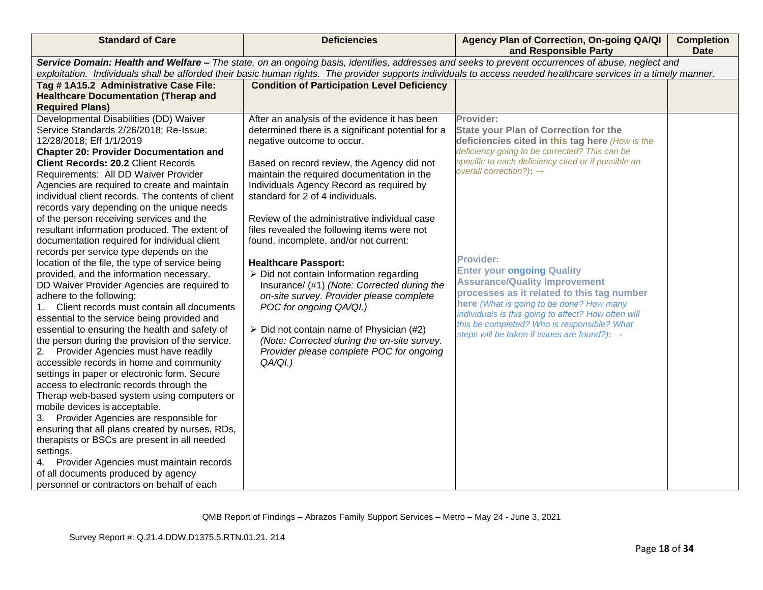| <b>Standard of Care</b>                                                                                                                                          | <b>Deficiencies</b>                                     | Agency Plan of Correction, On-going QA/QI<br>and Responsible Party                         | <b>Completion</b><br><b>Date</b> |  |  |
|------------------------------------------------------------------------------------------------------------------------------------------------------------------|---------------------------------------------------------|--------------------------------------------------------------------------------------------|----------------------------------|--|--|
| Service Domain: Health and Welfare - The state, on an ongoing basis, identifies, addresses and seeks to prevent occurrences of abuse, neglect and                |                                                         |                                                                                            |                                  |  |  |
| exploitation. Individuals shall be afforded their basic human rights. The provider supports individuals to access needed healthcare services in a timely manner. |                                                         |                                                                                            |                                  |  |  |
| Tag #1A15.2 Administrative Case File:                                                                                                                            | <b>Condition of Participation Level Deficiency</b>      |                                                                                            |                                  |  |  |
| <b>Healthcare Documentation (Therap and</b>                                                                                                                      |                                                         |                                                                                            |                                  |  |  |
| <b>Required Plans)</b>                                                                                                                                           |                                                         |                                                                                            |                                  |  |  |
| Developmental Disabilities (DD) Waiver                                                                                                                           | After an analysis of the evidence it has been           | Provider:                                                                                  |                                  |  |  |
| Service Standards 2/26/2018; Re-Issue:                                                                                                                           | determined there is a significant potential for a       | <b>State your Plan of Correction for the</b>                                               |                                  |  |  |
| 12/28/2018; Eff 1/1/2019                                                                                                                                         | negative outcome to occur.                              | deficiencies cited in this tag here (How is the                                            |                                  |  |  |
| <b>Chapter 20: Provider Documentation and</b>                                                                                                                    |                                                         | deficiency going to be corrected? This can be                                              |                                  |  |  |
| <b>Client Records: 20.2 Client Records</b>                                                                                                                       | Based on record review, the Agency did not              | specific to each deficiency cited or if possible an<br>overall correction?): $\rightarrow$ |                                  |  |  |
| Requirements: All DD Waiver Provider                                                                                                                             | maintain the required documentation in the              |                                                                                            |                                  |  |  |
| Agencies are required to create and maintain                                                                                                                     | Individuals Agency Record as required by                |                                                                                            |                                  |  |  |
| individual client records. The contents of client                                                                                                                | standard for 2 of 4 individuals.                        |                                                                                            |                                  |  |  |
| records vary depending on the unique needs                                                                                                                       |                                                         |                                                                                            |                                  |  |  |
| of the person receiving services and the                                                                                                                         | Review of the administrative individual case            |                                                                                            |                                  |  |  |
| resultant information produced. The extent of                                                                                                                    | files revealed the following items were not             |                                                                                            |                                  |  |  |
| documentation required for individual client                                                                                                                     | found, incomplete, and/or not current:                  |                                                                                            |                                  |  |  |
| records per service type depends on the                                                                                                                          |                                                         | <b>Provider:</b>                                                                           |                                  |  |  |
| location of the file, the type of service being                                                                                                                  | <b>Healthcare Passport:</b>                             | <b>Enter your ongoing Quality</b>                                                          |                                  |  |  |
| provided, and the information necessary.                                                                                                                         | $\triangleright$ Did not contain Information regarding  | <b>Assurance/Quality Improvement</b>                                                       |                                  |  |  |
| DD Waiver Provider Agencies are required to                                                                                                                      | Insurance/ (#1) (Note: Corrected during the             | processes as it related to this tag number                                                 |                                  |  |  |
| adhere to the following:                                                                                                                                         | on-site survey. Provider please complete                | here (What is going to be done? How many                                                   |                                  |  |  |
| 1. Client records must contain all documents                                                                                                                     | POC for ongoing QA/QI.)                                 | individuals is this going to affect? How often will                                        |                                  |  |  |
| essential to the service being provided and                                                                                                                      |                                                         | this be completed? Who is responsible? What                                                |                                  |  |  |
| essential to ensuring the health and safety of                                                                                                                   | $\triangleright$ Did not contain name of Physician (#2) | steps will be taken if issues are found?): $\rightarrow$                                   |                                  |  |  |
| the person during the provision of the service.                                                                                                                  | (Note: Corrected during the on-site survey.             |                                                                                            |                                  |  |  |
| 2. Provider Agencies must have readily                                                                                                                           | Provider please complete POC for ongoing                |                                                                                            |                                  |  |  |
| accessible records in home and community                                                                                                                         | QA/QI.)                                                 |                                                                                            |                                  |  |  |
| settings in paper or electronic form. Secure                                                                                                                     |                                                         |                                                                                            |                                  |  |  |
| access to electronic records through the                                                                                                                         |                                                         |                                                                                            |                                  |  |  |
| Therap web-based system using computers or                                                                                                                       |                                                         |                                                                                            |                                  |  |  |
| mobile devices is acceptable.                                                                                                                                    |                                                         |                                                                                            |                                  |  |  |
| 3. Provider Agencies are responsible for                                                                                                                         |                                                         |                                                                                            |                                  |  |  |
| ensuring that all plans created by nurses, RDs,                                                                                                                  |                                                         |                                                                                            |                                  |  |  |
| therapists or BSCs are present in all needed                                                                                                                     |                                                         |                                                                                            |                                  |  |  |
| settings.                                                                                                                                                        |                                                         |                                                                                            |                                  |  |  |
| 4. Provider Agencies must maintain records                                                                                                                       |                                                         |                                                                                            |                                  |  |  |
| of all documents produced by agency                                                                                                                              |                                                         |                                                                                            |                                  |  |  |
| personnel or contractors on behalf of each                                                                                                                       |                                                         |                                                                                            |                                  |  |  |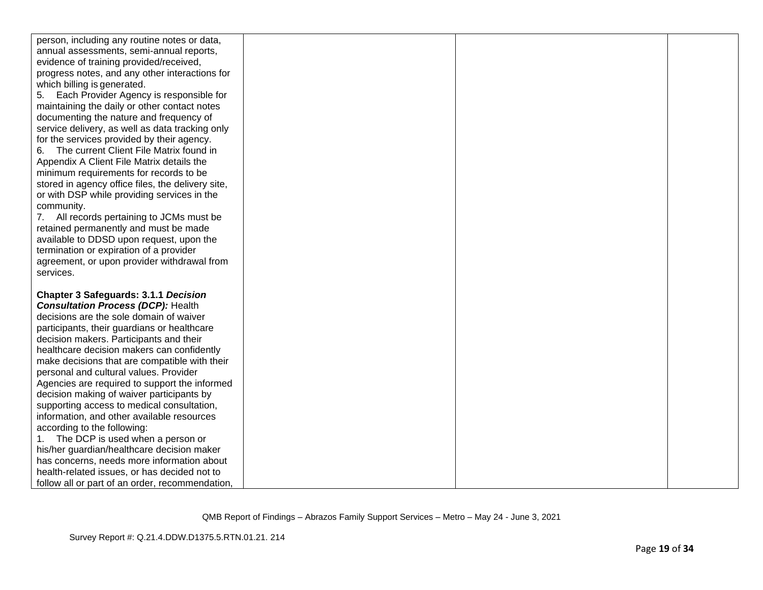| person, including any routine notes or data,      |  |  |
|---------------------------------------------------|--|--|
| annual assessments, semi-annual reports,          |  |  |
| evidence of training provided/received,           |  |  |
| progress notes, and any other interactions for    |  |  |
| which billing is generated.                       |  |  |
|                                                   |  |  |
| Each Provider Agency is responsible for<br>5.     |  |  |
| maintaining the daily or other contact notes      |  |  |
| documenting the nature and frequency of           |  |  |
| service delivery, as well as data tracking only   |  |  |
| for the services provided by their agency.        |  |  |
| The current Client File Matrix found in<br>6.     |  |  |
| Appendix A Client File Matrix details the         |  |  |
| minimum requirements for records to be            |  |  |
| stored in agency office files, the delivery site, |  |  |
| or with DSP while providing services in the       |  |  |
| community.                                        |  |  |
| 7. All records pertaining to JCMs must be         |  |  |
| retained permanently and must be made             |  |  |
| available to DDSD upon request, upon the          |  |  |
| termination or expiration of a provider           |  |  |
| agreement, or upon provider withdrawal from       |  |  |
| services.                                         |  |  |
| <b>Chapter 3 Safeguards: 3.1.1 Decision</b>       |  |  |
| <b>Consultation Process (DCP): Health</b>         |  |  |
| decisions are the sole domain of waiver           |  |  |
| participants, their guardians or healthcare       |  |  |
| decision makers. Participants and their           |  |  |
| healthcare decision makers can confidently        |  |  |
| make decisions that are compatible with their     |  |  |
| personal and cultural values. Provider            |  |  |
| Agencies are required to support the informed     |  |  |
| decision making of waiver participants by         |  |  |
| supporting access to medical consultation,        |  |  |
| information, and other available resources        |  |  |
| according to the following:                       |  |  |
| 1. The DCP is used when a person or               |  |  |
| his/her guardian/healthcare decision maker        |  |  |
| has concerns, needs more information about        |  |  |
| health-related issues, or has decided not to      |  |  |
|                                                   |  |  |
| follow all or part of an order, recommendation,   |  |  |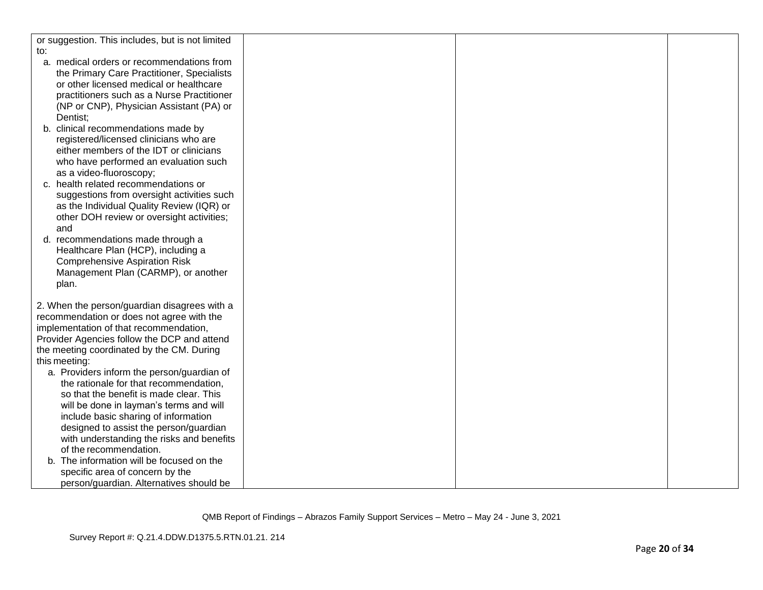| or suggestion. This includes, but is not limited |  |  |
|--------------------------------------------------|--|--|
| to:                                              |  |  |
| a. medical orders or recommendations from        |  |  |
| the Primary Care Practitioner, Specialists       |  |  |
| or other licensed medical or healthcare          |  |  |
| practitioners such as a Nurse Practitioner       |  |  |
| (NP or CNP), Physician Assistant (PA) or         |  |  |
| Dentist;                                         |  |  |
| b. clinical recommendations made by              |  |  |
| registered/licensed clinicians who are           |  |  |
| either members of the IDT or clinicians          |  |  |
| who have performed an evaluation such            |  |  |
| as a video-fluoroscopy;                          |  |  |
| c. health related recommendations or             |  |  |
| suggestions from oversight activities such       |  |  |
| as the Individual Quality Review (IQR) or        |  |  |
| other DOH review or oversight activities;        |  |  |
| and                                              |  |  |
| d. recommendations made through a                |  |  |
| Healthcare Plan (HCP), including a               |  |  |
| <b>Comprehensive Aspiration Risk</b>             |  |  |
| Management Plan (CARMP), or another              |  |  |
| plan.                                            |  |  |
|                                                  |  |  |
| 2. When the person/guardian disagrees with a     |  |  |
| recommendation or does not agree with the        |  |  |
| implementation of that recommendation,           |  |  |
| Provider Agencies follow the DCP and attend      |  |  |
| the meeting coordinated by the CM. During        |  |  |
| this meeting:                                    |  |  |
| a. Providers inform the person/guardian of       |  |  |
| the rationale for that recommendation,           |  |  |
| so that the benefit is made clear. This          |  |  |
| will be done in layman's terms and will          |  |  |
| include basic sharing of information             |  |  |
| designed to assist the person/guardian           |  |  |
| with understanding the risks and benefits        |  |  |
| of the recommendation.                           |  |  |
| The information will be focused on the           |  |  |
| specific area of concern by the                  |  |  |
| person/guardian. Alternatives should be          |  |  |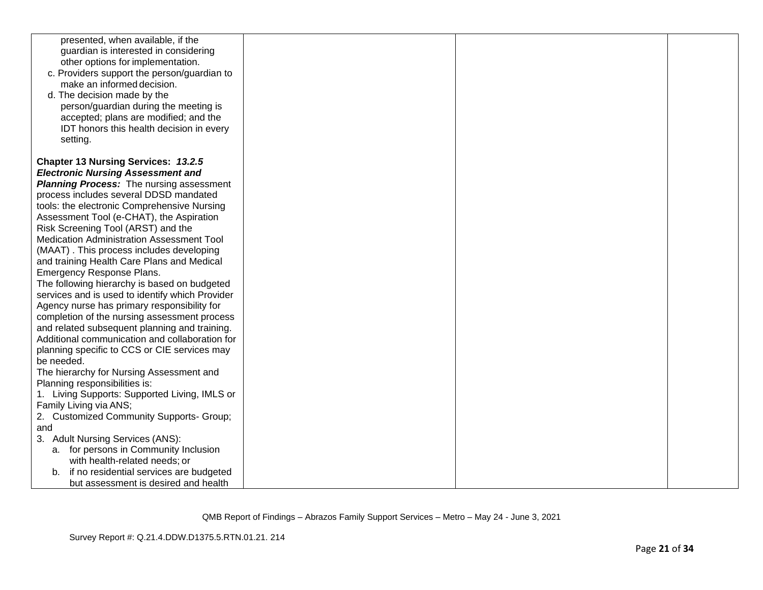| presented, when available, if the<br>guardian is interested in considering<br>other options for implementation.<br>c. Providers support the person/guardian to<br>make an informed decision.<br>d. The decision made by the<br>person/guardian during the meeting is<br>accepted; plans are modified; and the<br>IDT honors this health decision in every<br>setting. |  |  |
|-----------------------------------------------------------------------------------------------------------------------------------------------------------------------------------------------------------------------------------------------------------------------------------------------------------------------------------------------------------------------|--|--|
| <b>Chapter 13 Nursing Services: 13.2.5</b><br><b>Electronic Nursing Assessment and</b><br><b>Planning Process:</b> The nursing assessment<br>process includes several DDSD mandated<br>tools: the electronic Comprehensive Nursing                                                                                                                                    |  |  |
| Assessment Tool (e-CHAT), the Aspiration<br>Risk Screening Tool (ARST) and the<br>Medication Administration Assessment Tool<br>(MAAT). This process includes developing<br>and training Health Care Plans and Medical<br>Emergency Response Plans.                                                                                                                    |  |  |
| The following hierarchy is based on budgeted<br>services and is used to identify which Provider<br>Agency nurse has primary responsibility for<br>completion of the nursing assessment process<br>and related subsequent planning and training.<br>Additional communication and collaboration for                                                                     |  |  |
| planning specific to CCS or CIE services may<br>be needed.<br>The hierarchy for Nursing Assessment and<br>Planning responsibilities is:<br>1. Living Supports: Supported Living, IMLS or<br>Family Living via ANS;                                                                                                                                                    |  |  |
| 2. Customized Community Supports- Group;<br>and<br>3. Adult Nursing Services (ANS):<br>a. for persons in Community Inclusion<br>with health-related needs; or                                                                                                                                                                                                         |  |  |
| b. if no residential services are budgeted<br>but assessment is desired and health                                                                                                                                                                                                                                                                                    |  |  |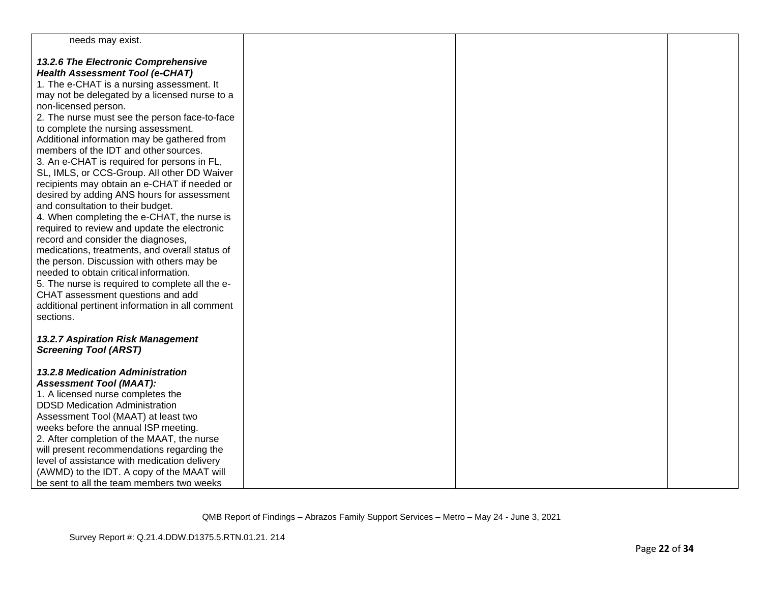| needs may exist.                                             |  |  |
|--------------------------------------------------------------|--|--|
| 13.2.6 The Electronic Comprehensive                          |  |  |
| <b>Health Assessment Tool (e-CHAT)</b>                       |  |  |
| 1. The e-CHAT is a nursing assessment. It                    |  |  |
| may not be delegated by a licensed nurse to a                |  |  |
| non-licensed person.                                         |  |  |
| 2. The nurse must see the person face-to-face                |  |  |
| to complete the nursing assessment.                          |  |  |
| Additional information may be gathered from                  |  |  |
| members of the IDT and other sources.                        |  |  |
| 3. An e-CHAT is required for persons in FL,                  |  |  |
| SL, IMLS, or CCS-Group. All other DD Waiver                  |  |  |
| recipients may obtain an e-CHAT if needed or                 |  |  |
| desired by adding ANS hours for assessment                   |  |  |
| and consultation to their budget.                            |  |  |
| 4. When completing the e-CHAT, the nurse is                  |  |  |
| required to review and update the electronic                 |  |  |
| record and consider the diagnoses,                           |  |  |
| medications, treatments, and overall status of               |  |  |
| the person. Discussion with others may be                    |  |  |
| needed to obtain critical information.                       |  |  |
| 5. The nurse is required to complete all the e-              |  |  |
| CHAT assessment questions and add                            |  |  |
| additional pertinent information in all comment<br>sections. |  |  |
|                                                              |  |  |
| 13.2.7 Aspiration Risk Management                            |  |  |
| <b>Screening Tool (ARST)</b>                                 |  |  |
|                                                              |  |  |
| <b>13.2.8 Medication Administration</b>                      |  |  |
| <b>Assessment Tool (MAAT):</b>                               |  |  |
| 1. A licensed nurse completes the                            |  |  |
| <b>DDSD Medication Administration</b>                        |  |  |
| Assessment Tool (MAAT) at least two                          |  |  |
| weeks before the annual ISP meeting.                         |  |  |
| 2. After completion of the MAAT, the nurse                   |  |  |
| will present recommendations regarding the                   |  |  |
| level of assistance with medication delivery                 |  |  |
| (AWMD) to the IDT. A copy of the MAAT will                   |  |  |
| be sent to all the team members two weeks                    |  |  |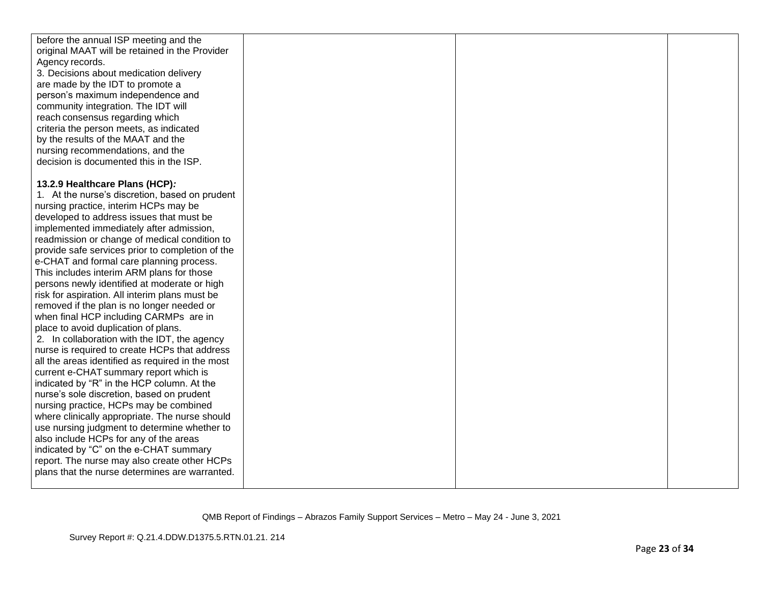| before the annual ISP meeting and the            |  |  |
|--------------------------------------------------|--|--|
| original MAAT will be retained in the Provider   |  |  |
| Agency records.                                  |  |  |
| 3. Decisions about medication delivery           |  |  |
| are made by the IDT to promote a                 |  |  |
| person's maximum independence and                |  |  |
| community integration. The IDT will              |  |  |
| reach consensus regarding which                  |  |  |
| criteria the person meets, as indicated          |  |  |
| by the results of the MAAT and the               |  |  |
| nursing recommendations, and the                 |  |  |
| decision is documented this in the ISP.          |  |  |
|                                                  |  |  |
|                                                  |  |  |
| 13.2.9 Healthcare Plans (HCP):                   |  |  |
| 1. At the nurse's discretion, based on prudent   |  |  |
| nursing practice, interim HCPs may be            |  |  |
| developed to address issues that must be         |  |  |
| implemented immediately after admission,         |  |  |
| readmission or change of medical condition to    |  |  |
| provide safe services prior to completion of the |  |  |
| e-CHAT and formal care planning process.         |  |  |
| This includes interim ARM plans for those        |  |  |
| persons newly identified at moderate or high     |  |  |
| risk for aspiration. All interim plans must be   |  |  |
| removed if the plan is no longer needed or       |  |  |
| when final HCP including CARMPs are in           |  |  |
| place to avoid duplication of plans.             |  |  |
| 2. In collaboration with the IDT, the agency     |  |  |
| nurse is required to create HCPs that address    |  |  |
| all the areas identified as required in the most |  |  |
| current e-CHAT summary report which is           |  |  |
| indicated by "R" in the HCP column. At the       |  |  |
| nurse's sole discretion, based on prudent        |  |  |
| nursing practice, HCPs may be combined           |  |  |
| where clinically appropriate. The nurse should   |  |  |
|                                                  |  |  |
| use nursing judgment to determine whether to     |  |  |
| also include HCPs for any of the areas           |  |  |
| indicated by "C" on the e-CHAT summary           |  |  |
| report. The nurse may also create other HCPs     |  |  |
| plans that the nurse determines are warranted.   |  |  |
|                                                  |  |  |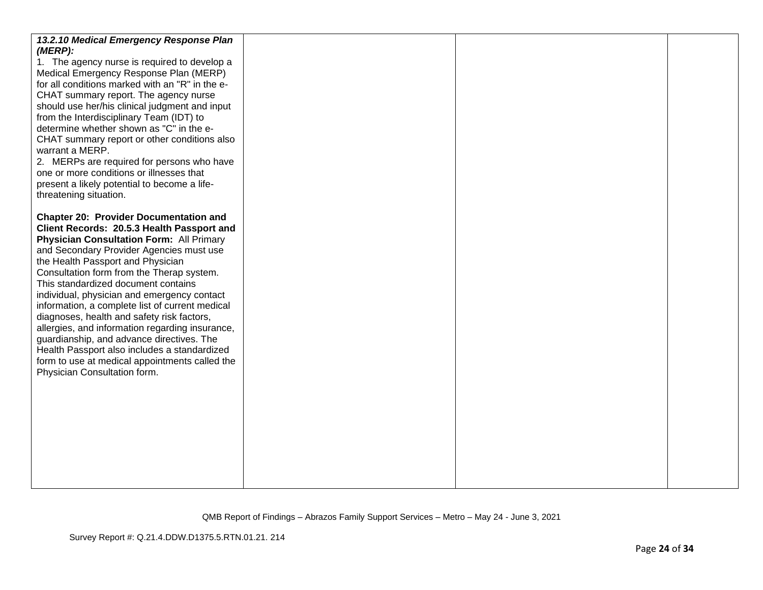| 13.2.10 Medical Emergency Response Plan<br>(MERP):<br>1. The agency nurse is required to develop a<br>Medical Emergency Response Plan (MERP)<br>for all conditions marked with an "R" in the e-<br>CHAT summary report. The agency nurse<br>should use her/his clinical judgment and input<br>from the Interdisciplinary Team (IDT) to<br>determine whether shown as "C" in the e-<br>CHAT summary report or other conditions also<br>warrant a MERP.<br>2. MERPs are required for persons who have<br>one or more conditions or illnesses that<br>present a likely potential to become a life-<br>threatening situation.                                                                      |  |  |
|------------------------------------------------------------------------------------------------------------------------------------------------------------------------------------------------------------------------------------------------------------------------------------------------------------------------------------------------------------------------------------------------------------------------------------------------------------------------------------------------------------------------------------------------------------------------------------------------------------------------------------------------------------------------------------------------|--|--|
| <b>Chapter 20: Provider Documentation and</b><br>Client Records: 20.5.3 Health Passport and<br>Physician Consultation Form: All Primary<br>and Secondary Provider Agencies must use<br>the Health Passport and Physician<br>Consultation form from the Therap system.<br>This standardized document contains<br>individual, physician and emergency contact<br>information, a complete list of current medical<br>diagnoses, health and safety risk factors,<br>allergies, and information regarding insurance,<br>guardianship, and advance directives. The<br>Health Passport also includes a standardized<br>form to use at medical appointments called the<br>Physician Consultation form. |  |  |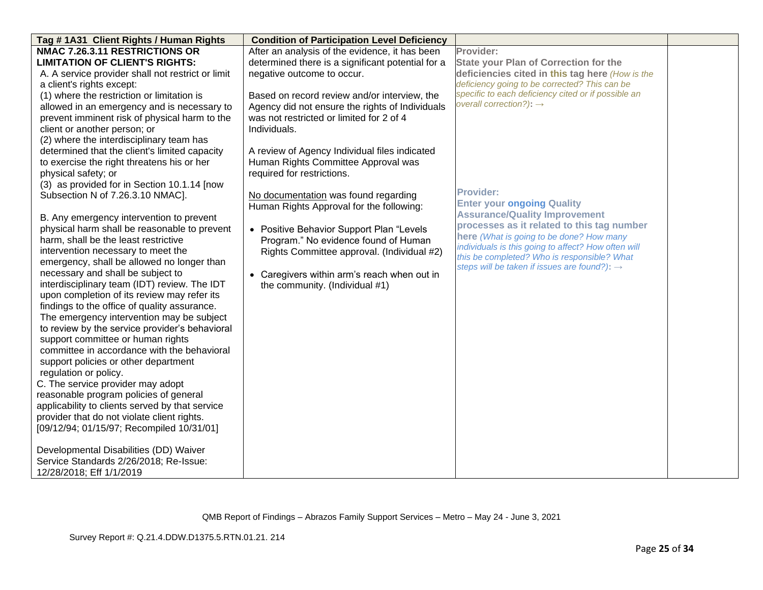| Tag #1A31 Client Rights / Human Rights                                           | <b>Condition of Participation Level Deficiency</b> |                                                                                                    |  |
|----------------------------------------------------------------------------------|----------------------------------------------------|----------------------------------------------------------------------------------------------------|--|
| NMAC 7.26.3.11 RESTRICTIONS OR                                                   | After an analysis of the evidence, it has been     | Provider:                                                                                          |  |
| <b>LIMITATION OF CLIENT'S RIGHTS:</b>                                            | determined there is a significant potential for a  | <b>State your Plan of Correction for the</b>                                                       |  |
| A. A service provider shall not restrict or limit                                | negative outcome to occur.                         | deficiencies cited in this tag here (How is the                                                    |  |
| a client's rights except:                                                        |                                                    | deficiency going to be corrected? This can be                                                      |  |
| (1) where the restriction or limitation is                                       | Based on record review and/or interview, the       | specific to each deficiency cited or if possible an                                                |  |
| allowed in an emergency and is necessary to                                      | Agency did not ensure the rights of Individuals    | overall correction?): $\rightarrow$                                                                |  |
| prevent imminent risk of physical harm to the                                    | was not restricted or limited for 2 of 4           |                                                                                                    |  |
| client or another person; or                                                     | Individuals.                                       |                                                                                                    |  |
| (2) where the interdisciplinary team has                                         |                                                    |                                                                                                    |  |
| determined that the client's limited capacity                                    | A review of Agency Individual files indicated      |                                                                                                    |  |
| to exercise the right threatens his or her                                       | Human Rights Committee Approval was                |                                                                                                    |  |
| physical safety; or                                                              | required for restrictions.                         |                                                                                                    |  |
| (3) as provided for in Section 10.1.14 [now                                      |                                                    |                                                                                                    |  |
| Subsection N of 7.26.3.10 NMAC].                                                 | No documentation was found regarding               | <b>Provider:</b>                                                                                   |  |
|                                                                                  | Human Rights Approval for the following:           | <b>Enter your ongoing Quality</b>                                                                  |  |
| B. Any emergency intervention to prevent                                         |                                                    | <b>Assurance/Quality Improvement</b>                                                               |  |
| physical harm shall be reasonable to prevent                                     | • Positive Behavior Support Plan "Levels           | processes as it related to this tag number                                                         |  |
| harm, shall be the least restrictive                                             | Program." No evidence found of Human               | here (What is going to be done? How many                                                           |  |
| intervention necessary to meet the                                               | Rights Committee approval. (Individual #2)         | individuals is this going to affect? How often will<br>this be completed? Who is responsible? What |  |
| emergency, shall be allowed no longer than                                       |                                                    | steps will be taken if issues are found?): $\rightarrow$                                           |  |
| necessary and shall be subject to                                                | • Caregivers within arm's reach when out in        |                                                                                                    |  |
| interdisciplinary team (IDT) review. The IDT                                     | the community. (Individual #1)                     |                                                                                                    |  |
| upon completion of its review may refer its                                      |                                                    |                                                                                                    |  |
| findings to the office of quality assurance.                                     |                                                    |                                                                                                    |  |
| The emergency intervention may be subject                                        |                                                    |                                                                                                    |  |
| to review by the service provider's behavioral                                   |                                                    |                                                                                                    |  |
| support committee or human rights                                                |                                                    |                                                                                                    |  |
| committee in accordance with the behavioral                                      |                                                    |                                                                                                    |  |
| support policies or other department                                             |                                                    |                                                                                                    |  |
| regulation or policy.                                                            |                                                    |                                                                                                    |  |
| C. The service provider may adopt                                                |                                                    |                                                                                                    |  |
| reasonable program policies of general                                           |                                                    |                                                                                                    |  |
| applicability to clients served by that service                                  |                                                    |                                                                                                    |  |
| provider that do not violate client rights.                                      |                                                    |                                                                                                    |  |
| [09/12/94; 01/15/97; Recompiled 10/31/01]                                        |                                                    |                                                                                                    |  |
|                                                                                  |                                                    |                                                                                                    |  |
| Developmental Disabilities (DD) Waiver<br>Service Standards 2/26/2018; Re-Issue: |                                                    |                                                                                                    |  |
| 12/28/2018; Eff 1/1/2019                                                         |                                                    |                                                                                                    |  |
|                                                                                  |                                                    |                                                                                                    |  |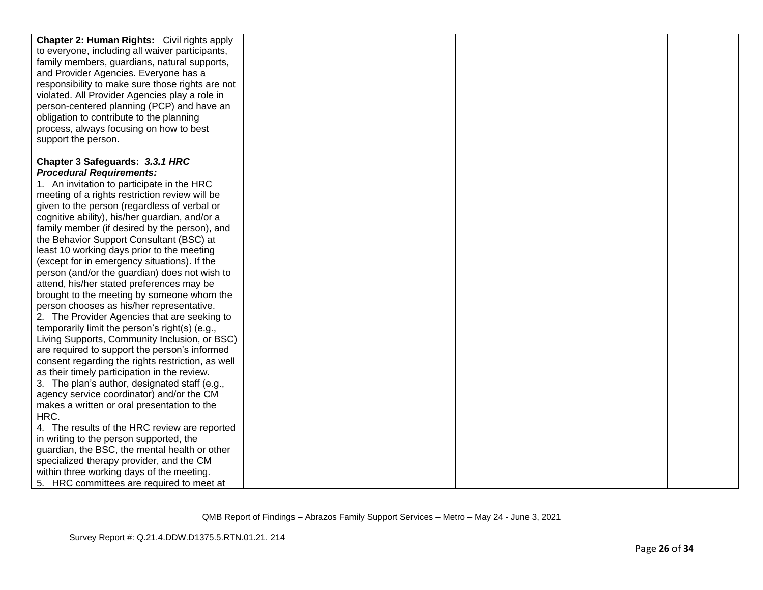| <b>Chapter 2: Human Rights:</b> Civil rights apply |  |  |
|----------------------------------------------------|--|--|
| to everyone, including all waiver participants,    |  |  |
| family members, guardians, natural supports,       |  |  |
| and Provider Agencies. Everyone has a              |  |  |
| responsibility to make sure those rights are not   |  |  |
| violated. All Provider Agencies play a role in     |  |  |
| person-centered planning (PCP) and have an         |  |  |
| obligation to contribute to the planning           |  |  |
| process, always focusing on how to best            |  |  |
| support the person.                                |  |  |
|                                                    |  |  |
| Chapter 3 Safeguards: 3.3.1 HRC                    |  |  |
| <b>Procedural Requirements:</b>                    |  |  |
| 1. An invitation to participate in the HRC         |  |  |
| meeting of a rights restriction review will be     |  |  |
| given to the person (regardless of verbal or       |  |  |
| cognitive ability), his/her guardian, and/or a     |  |  |
| family member (if desired by the person), and      |  |  |
| the Behavior Support Consultant (BSC) at           |  |  |
| least 10 working days prior to the meeting         |  |  |
| (except for in emergency situations). If the       |  |  |
| person (and/or the guardian) does not wish to      |  |  |
| attend, his/her stated preferences may be          |  |  |
| brought to the meeting by someone whom the         |  |  |
| person chooses as his/her representative.          |  |  |
| 2. The Provider Agencies that are seeking to       |  |  |
| temporarily limit the person's right(s) (e.g.,     |  |  |
| Living Supports, Community Inclusion, or BSC)      |  |  |
| are required to support the person's informed      |  |  |
| consent regarding the rights restriction, as well  |  |  |
| as their timely participation in the review.       |  |  |
| 3. The plan's author, designated staff (e.g.,      |  |  |
| agency service coordinator) and/or the CM          |  |  |
| makes a written or oral presentation to the        |  |  |
| HRC.                                               |  |  |
| 4. The results of the HRC review are reported      |  |  |
| in writing to the person supported, the            |  |  |
| guardian, the BSC, the mental health or other      |  |  |
| specialized therapy provider, and the CM           |  |  |
| within three working days of the meeting.          |  |  |
| 5. HRC committees are required to meet at          |  |  |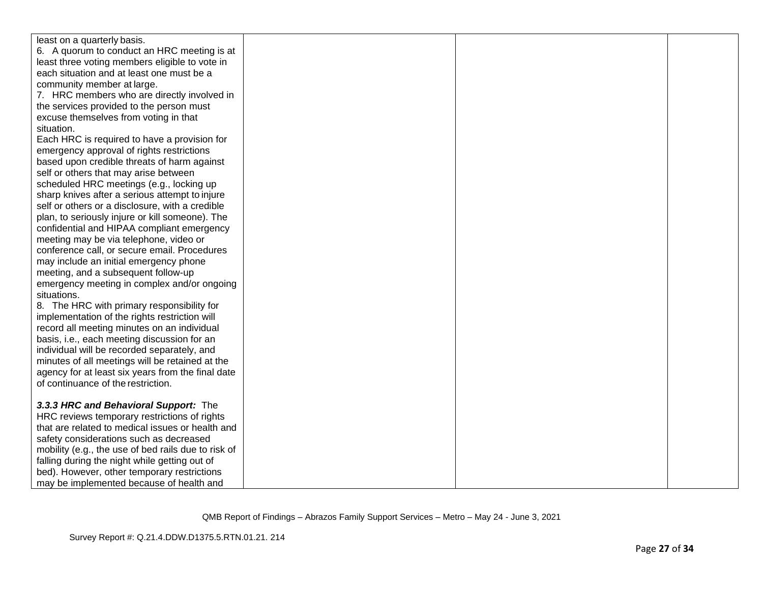| least on a quarterly basis.                         |  |  |
|-----------------------------------------------------|--|--|
| 6. A quorum to conduct an HRC meeting is at         |  |  |
| least three voting members eligible to vote in      |  |  |
| each situation and at least one must be a           |  |  |
| community member at large.                          |  |  |
| 7. HRC members who are directly involved in         |  |  |
| the services provided to the person must            |  |  |
| excuse themselves from voting in that               |  |  |
| situation.                                          |  |  |
| Each HRC is required to have a provision for        |  |  |
| emergency approval of rights restrictions           |  |  |
| based upon credible threats of harm against         |  |  |
| self or others that may arise between               |  |  |
| scheduled HRC meetings (e.g., locking up            |  |  |
| sharp knives after a serious attempt to injure      |  |  |
| self or others or a disclosure, with a credible     |  |  |
| plan, to seriously injure or kill someone). The     |  |  |
| confidential and HIPAA compliant emergency          |  |  |
| meeting may be via telephone, video or              |  |  |
| conference call, or secure email. Procedures        |  |  |
| may include an initial emergency phone              |  |  |
| meeting, and a subsequent follow-up                 |  |  |
| emergency meeting in complex and/or ongoing         |  |  |
| situations.                                         |  |  |
| 8. The HRC with primary responsibility for          |  |  |
| implementation of the rights restriction will       |  |  |
| record all meeting minutes on an individual         |  |  |
| basis, i.e., each meeting discussion for an         |  |  |
| individual will be recorded separately, and         |  |  |
| minutes of all meetings will be retained at the     |  |  |
| agency for at least six years from the final date   |  |  |
| of continuance of the restriction.                  |  |  |
|                                                     |  |  |
| 3.3.3 HRC and Behavioral Support: The               |  |  |
| HRC reviews temporary restrictions of rights        |  |  |
| that are related to medical issues or health and    |  |  |
| safety considerations such as decreased             |  |  |
| mobility (e.g., the use of bed rails due to risk of |  |  |
| falling during the night while getting out of       |  |  |
| bed). However, other temporary restrictions         |  |  |
| may be implemented because of health and            |  |  |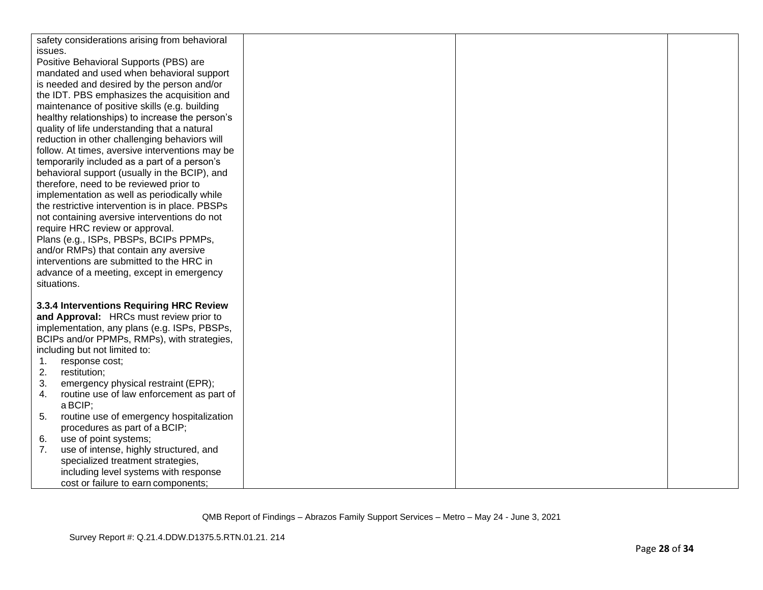| safety considerations arising from behavioral   |  |  |
|-------------------------------------------------|--|--|
| issues.                                         |  |  |
| Positive Behavioral Supports (PBS) are          |  |  |
| mandated and used when behavioral support       |  |  |
| is needed and desired by the person and/or      |  |  |
| the IDT. PBS emphasizes the acquisition and     |  |  |
| maintenance of positive skills (e.g. building   |  |  |
| healthy relationships) to increase the person's |  |  |
| quality of life understanding that a natural    |  |  |
| reduction in other challenging behaviors will   |  |  |
| follow. At times, aversive interventions may be |  |  |
| temporarily included as a part of a person's    |  |  |
| behavioral support (usually in the BCIP), and   |  |  |
| therefore, need to be reviewed prior to         |  |  |
| implementation as well as periodically while    |  |  |
| the restrictive intervention is in place. PBSPs |  |  |
| not containing aversive interventions do not    |  |  |
| require HRC review or approval.                 |  |  |
| Plans (e.g., ISPs, PBSPs, BCIPs PPMPs,          |  |  |
| and/or RMPs) that contain any aversive          |  |  |
| interventions are submitted to the HRC in       |  |  |
| advance of a meeting, except in emergency       |  |  |
| situations.                                     |  |  |
|                                                 |  |  |
| 3.3.4 Interventions Requiring HRC Review        |  |  |
| and Approval: HRCs must review prior to         |  |  |
| implementation, any plans (e.g. ISPs, PBSPs,    |  |  |
| BCIPs and/or PPMPs, RMPs), with strategies,     |  |  |
| including but not limited to:                   |  |  |
| response cost;<br>1.                            |  |  |
| 2.<br>restitution;                              |  |  |
| 3.<br>emergency physical restraint (EPR);       |  |  |
| routine use of law enforcement as part of<br>4. |  |  |
| a BCIP;                                         |  |  |
| routine use of emergency hospitalization<br>5.  |  |  |
| procedures as part of a BCIP;                   |  |  |
| use of point systems;<br>6.                     |  |  |
| use of intense, highly structured, and<br>7.    |  |  |
| specialized treatment strategies,               |  |  |
| including level systems with response           |  |  |
| cost or failure to earn components;             |  |  |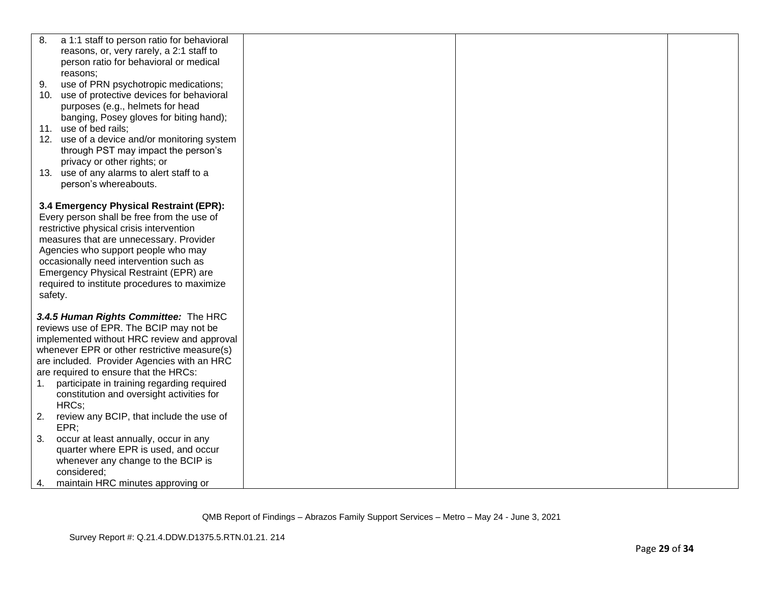| 8. | a 1:1 staff to person ratio for behavioral   |  |  |
|----|----------------------------------------------|--|--|
|    | reasons, or, very rarely, a 2:1 staff to     |  |  |
|    | person ratio for behavioral or medical       |  |  |
|    | reasons:                                     |  |  |
| 9. | use of PRN psychotropic medications;         |  |  |
|    | 10. use of protective devices for behavioral |  |  |
|    | purposes (e.g., helmets for head             |  |  |
|    | banging, Posey gloves for biting hand);      |  |  |
|    | 11. use of bed rails;                        |  |  |
|    | 12. use of a device and/or monitoring system |  |  |
|    | through PST may impact the person's          |  |  |
|    | privacy or other rights; or                  |  |  |
|    | 13. use of any alarms to alert staff to a    |  |  |
|    | person's whereabouts.                        |  |  |
|    |                                              |  |  |
|    | 3.4 Emergency Physical Restraint (EPR):      |  |  |
|    | Every person shall be free from the use of   |  |  |
|    | restrictive physical crisis intervention     |  |  |
|    | measures that are unnecessary. Provider      |  |  |
|    | Agencies who support people who may          |  |  |
|    | occasionally need intervention such as       |  |  |
|    | Emergency Physical Restraint (EPR) are       |  |  |
|    | required to institute procedures to maximize |  |  |
|    | safety.                                      |  |  |
|    | 3.4.5 Human Rights Committee: The HRC        |  |  |
|    | reviews use of EPR. The BCIP may not be      |  |  |
|    | implemented without HRC review and approval  |  |  |
|    | whenever EPR or other restrictive measure(s) |  |  |
|    | are included. Provider Agencies with an HRC  |  |  |
|    | are required to ensure that the HRCs:        |  |  |
|    | participate in training regarding required   |  |  |
|    | constitution and oversight activities for    |  |  |
|    | HRCs;                                        |  |  |
| 2. | review any BCIP, that include the use of     |  |  |
|    | EPR                                          |  |  |
| 3. | occur at least annually, occur in any        |  |  |
|    | quarter where EPR is used, and occur         |  |  |
|    | whenever any change to the BCIP is           |  |  |
|    | considered:                                  |  |  |
|    | maintain HRC minutes approving or            |  |  |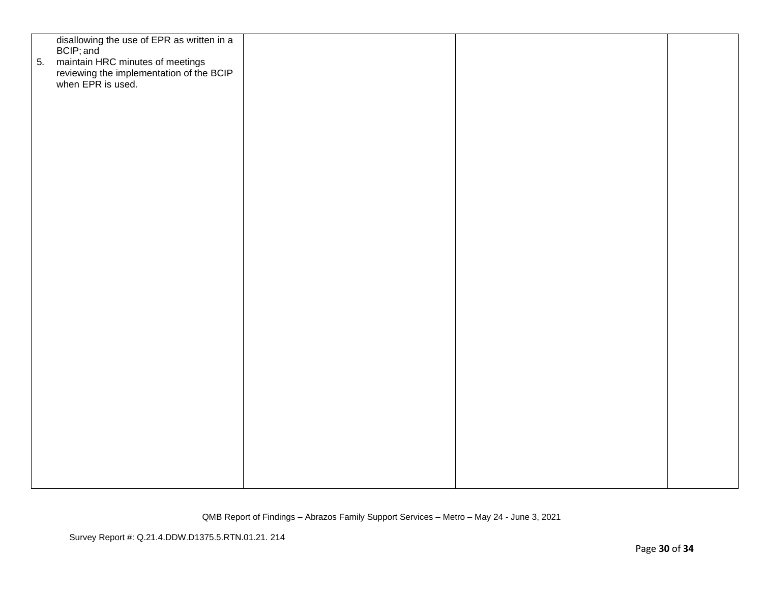| 5. | disallowing the use of EPR as written in a<br>BCIP; and<br>maintain HRC minutes of meetings<br>reviewing the implementation of the BCIP<br>when EPR is used. |  |  |
|----|--------------------------------------------------------------------------------------------------------------------------------------------------------------|--|--|
|    |                                                                                                                                                              |  |  |
|    |                                                                                                                                                              |  |  |
|    |                                                                                                                                                              |  |  |
|    |                                                                                                                                                              |  |  |
|    |                                                                                                                                                              |  |  |
|    |                                                                                                                                                              |  |  |
|    |                                                                                                                                                              |  |  |
|    |                                                                                                                                                              |  |  |
|    |                                                                                                                                                              |  |  |
|    |                                                                                                                                                              |  |  |
|    |                                                                                                                                                              |  |  |
|    |                                                                                                                                                              |  |  |
|    |                                                                                                                                                              |  |  |
|    |                                                                                                                                                              |  |  |
|    |                                                                                                                                                              |  |  |
|    |                                                                                                                                                              |  |  |
|    |                                                                                                                                                              |  |  |
|    |                                                                                                                                                              |  |  |
|    |                                                                                                                                                              |  |  |
|    |                                                                                                                                                              |  |  |
|    |                                                                                                                                                              |  |  |
|    |                                                                                                                                                              |  |  |
|    |                                                                                                                                                              |  |  |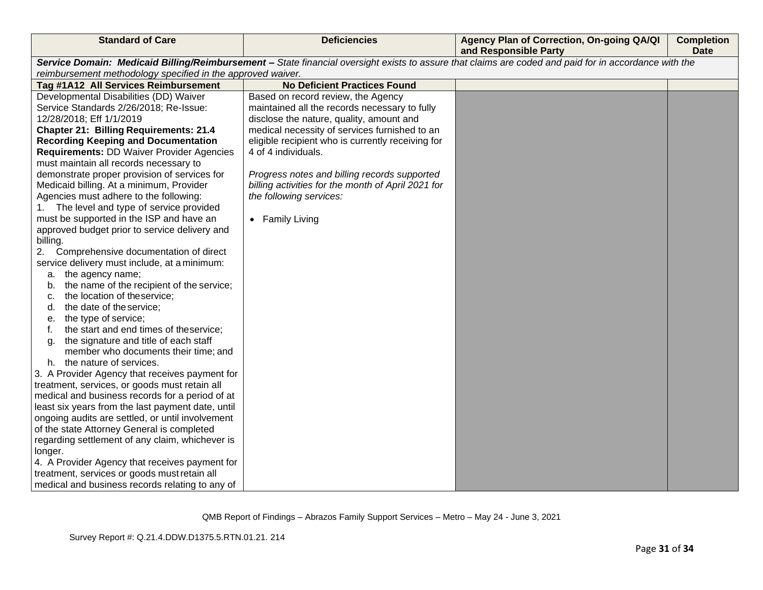| <b>Standard of Care</b>                                     | <b>Deficiencies</b>                                | Agency Plan of Correction, On-going QA/QI<br>and Responsible Party                                                                                    | <b>Completion</b><br><b>Date</b> |
|-------------------------------------------------------------|----------------------------------------------------|-------------------------------------------------------------------------------------------------------------------------------------------------------|----------------------------------|
|                                                             |                                                    | Service Domain: Medicaid Billing/Reimbursement - State financial oversight exists to assure that claims are coded and paid for in accordance with the |                                  |
| reimbursement methodology specified in the approved waiver. |                                                    |                                                                                                                                                       |                                  |
| Tag #1A12 All Services Reimbursement                        | <b>No Deficient Practices Found</b>                |                                                                                                                                                       |                                  |
| Developmental Disabilities (DD) Waiver                      | Based on record review, the Agency                 |                                                                                                                                                       |                                  |
| Service Standards 2/26/2018; Re-Issue:                      | maintained all the records necessary to fully      |                                                                                                                                                       |                                  |
| 12/28/2018; Eff 1/1/2019                                    | disclose the nature, quality, amount and           |                                                                                                                                                       |                                  |
| <b>Chapter 21: Billing Requirements: 21.4</b>               | medical necessity of services furnished to an      |                                                                                                                                                       |                                  |
| <b>Recording Keeping and Documentation</b>                  | eligible recipient who is currently receiving for  |                                                                                                                                                       |                                  |
| <b>Requirements: DD Waiver Provider Agencies</b>            | 4 of 4 individuals.                                |                                                                                                                                                       |                                  |
| must maintain all records necessary to                      |                                                    |                                                                                                                                                       |                                  |
| demonstrate proper provision of services for                | Progress notes and billing records supported       |                                                                                                                                                       |                                  |
| Medicaid billing. At a minimum, Provider                    | billing activities for the month of April 2021 for |                                                                                                                                                       |                                  |
| Agencies must adhere to the following:                      | the following services:                            |                                                                                                                                                       |                                  |
| The level and type of service provided<br>1.                |                                                    |                                                                                                                                                       |                                  |
| must be supported in the ISP and have an                    | • Family Living                                    |                                                                                                                                                       |                                  |
| approved budget prior to service delivery and               |                                                    |                                                                                                                                                       |                                  |
| billing.                                                    |                                                    |                                                                                                                                                       |                                  |
| 2.<br>Comprehensive documentation of direct                 |                                                    |                                                                                                                                                       |                                  |
| service delivery must include, at a minimum:                |                                                    |                                                                                                                                                       |                                  |
| a. the agency name;                                         |                                                    |                                                                                                                                                       |                                  |
| the name of the recipient of the service;<br>b.             |                                                    |                                                                                                                                                       |                                  |
| the location of the service;<br>c.                          |                                                    |                                                                                                                                                       |                                  |
| the date of the service;<br>d.                              |                                                    |                                                                                                                                                       |                                  |
| the type of service;<br>е.                                  |                                                    |                                                                                                                                                       |                                  |
| the start and end times of theservice;<br>f.                |                                                    |                                                                                                                                                       |                                  |
| the signature and title of each staff<br>a.                 |                                                    |                                                                                                                                                       |                                  |
| member who documents their time; and                        |                                                    |                                                                                                                                                       |                                  |
| h. the nature of services.                                  |                                                    |                                                                                                                                                       |                                  |
| 3. A Provider Agency that receives payment for              |                                                    |                                                                                                                                                       |                                  |
| treatment, services, or goods must retain all               |                                                    |                                                                                                                                                       |                                  |
| medical and business records for a period of at             |                                                    |                                                                                                                                                       |                                  |
| least six years from the last payment date, until           |                                                    |                                                                                                                                                       |                                  |
| ongoing audits are settled, or until involvement            |                                                    |                                                                                                                                                       |                                  |
| of the state Attorney General is completed                  |                                                    |                                                                                                                                                       |                                  |
| regarding settlement of any claim, whichever is             |                                                    |                                                                                                                                                       |                                  |
| longer.                                                     |                                                    |                                                                                                                                                       |                                  |
| 4. A Provider Agency that receives payment for              |                                                    |                                                                                                                                                       |                                  |
| treatment, services or goods must retain all                |                                                    |                                                                                                                                                       |                                  |
| medical and business records relating to any of             |                                                    |                                                                                                                                                       |                                  |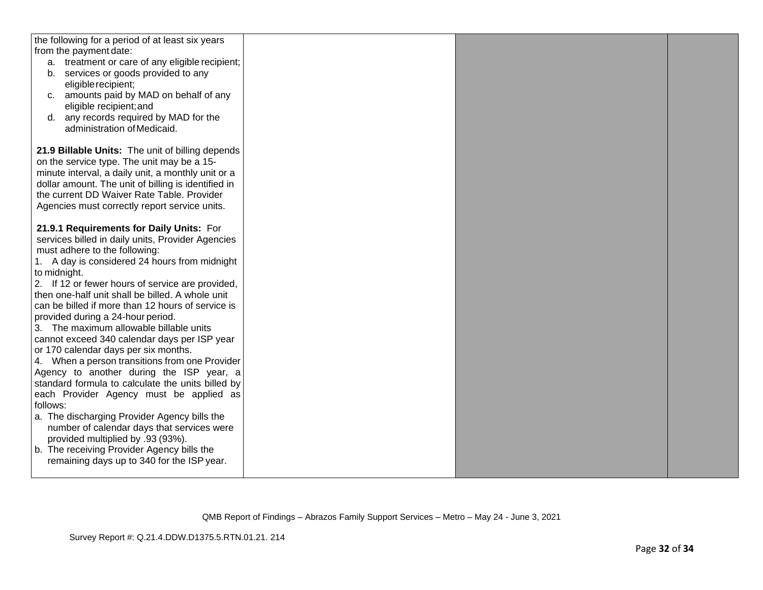| the following for a period of at least six years                                                  |  |  |
|---------------------------------------------------------------------------------------------------|--|--|
| from the payment date:                                                                            |  |  |
| a. treatment or care of any eligible recipient;                                                   |  |  |
| b. services or goods provided to any                                                              |  |  |
| eligible recipient;                                                                               |  |  |
| c. amounts paid by MAD on behalf of any                                                           |  |  |
| eligible recipient; and                                                                           |  |  |
| d. any records required by MAD for the                                                            |  |  |
| administration of Medicaid.                                                                       |  |  |
|                                                                                                   |  |  |
| 21.9 Billable Units: The unit of billing depends                                                  |  |  |
| on the service type. The unit may be a 15-                                                        |  |  |
| minute interval, a daily unit, a monthly unit or a                                                |  |  |
| dollar amount. The unit of billing is identified in<br>the current DD Waiver Rate Table. Provider |  |  |
|                                                                                                   |  |  |
| Agencies must correctly report service units.                                                     |  |  |
| 21.9.1 Requirements for Daily Units: For                                                          |  |  |
| services billed in daily units, Provider Agencies                                                 |  |  |
| must adhere to the following:                                                                     |  |  |
| 1. A day is considered 24 hours from midnight                                                     |  |  |
| to midnight.                                                                                      |  |  |
| 2. If 12 or fewer hours of service are provided,                                                  |  |  |
| then one-half unit shall be billed. A whole unit                                                  |  |  |
| can be billed if more than 12 hours of service is                                                 |  |  |
| provided during a 24-hour period.                                                                 |  |  |
| 3. The maximum allowable billable units                                                           |  |  |
| cannot exceed 340 calendar days per ISP year                                                      |  |  |
| or 170 calendar days per six months.                                                              |  |  |
| 4. When a person transitions from one Provider                                                    |  |  |
| Agency to another during the ISP year, a                                                          |  |  |
| standard formula to calculate the units billed by                                                 |  |  |
| each Provider Agency must be applied as                                                           |  |  |
| follows:                                                                                          |  |  |
| a. The discharging Provider Agency bills the                                                      |  |  |
| number of calendar days that services were                                                        |  |  |
| provided multiplied by .93 (93%).                                                                 |  |  |
| b. The receiving Provider Agency bills the                                                        |  |  |
| remaining days up to 340 for the ISP year.                                                        |  |  |
|                                                                                                   |  |  |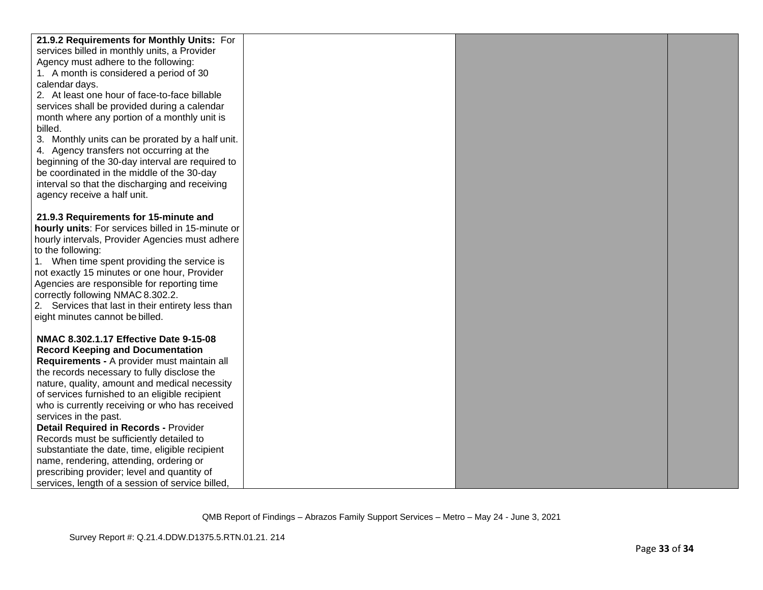| 21.9.2 Requirements for Monthly Units: For        |  |  |
|---------------------------------------------------|--|--|
| services billed in monthly units, a Provider      |  |  |
| Agency must adhere to the following:              |  |  |
|                                                   |  |  |
| 1. A month is considered a period of 30           |  |  |
| calendar days.                                    |  |  |
| 2. At least one hour of face-to-face billable     |  |  |
| services shall be provided during a calendar      |  |  |
| month where any portion of a monthly unit is      |  |  |
| billed.                                           |  |  |
| 3. Monthly units can be prorated by a half unit.  |  |  |
| 4. Agency transfers not occurring at the          |  |  |
| beginning of the 30-day interval are required to  |  |  |
| be coordinated in the middle of the 30-day        |  |  |
| interval so that the discharging and receiving    |  |  |
| agency receive a half unit.                       |  |  |
|                                                   |  |  |
| 21.9.3 Requirements for 15-minute and             |  |  |
| hourly units: For services billed in 15-minute or |  |  |
| hourly intervals, Provider Agencies must adhere   |  |  |
| to the following:                                 |  |  |
| 1. When time spent providing the service is       |  |  |
| not exactly 15 minutes or one hour, Provider      |  |  |
| Agencies are responsible for reporting time       |  |  |
| correctly following NMAC 8.302.2.                 |  |  |
| 2. Services that last in their entirety less than |  |  |
| eight minutes cannot be billed.                   |  |  |
|                                                   |  |  |
| NMAC 8.302.1.17 Effective Date 9-15-08            |  |  |
| <b>Record Keeping and Documentation</b>           |  |  |
| Requirements - A provider must maintain all       |  |  |
| the records necessary to fully disclose the       |  |  |
| nature, quality, amount and medical necessity     |  |  |
| of services furnished to an eligible recipient    |  |  |
| who is currently receiving or who has received    |  |  |
| services in the past.                             |  |  |
| <b>Detail Required in Records - Provider</b>      |  |  |
| Records must be sufficiently detailed to          |  |  |
| substantiate the date, time, eligible recipient   |  |  |
| name, rendering, attending, ordering or           |  |  |
|                                                   |  |  |
| prescribing provider; level and quantity of       |  |  |
| services, length of a session of service billed,  |  |  |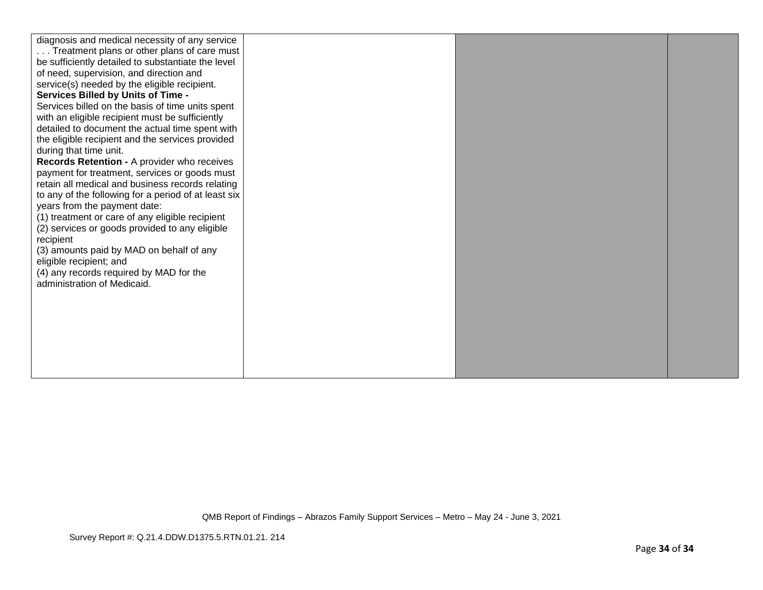| diagnosis and medical necessity of any service<br>Treatment plans or other plans of care must<br>be sufficiently detailed to substantiate the level<br>of need, supervision, and direction and<br>service(s) needed by the eligible recipient.<br><b>Services Billed by Units of Time -</b><br>Services billed on the basis of time units spent<br>with an eligible recipient must be sufficiently<br>detailed to document the actual time spent with<br>the eligible recipient and the services provided<br>during that time unit.<br>Records Retention - A provider who receives<br>payment for treatment, services or goods must<br>retain all medical and business records relating<br>to any of the following for a period of at least six<br>years from the payment date:<br>(1) treatment or care of any eligible recipient<br>(2) services or goods provided to any eligible<br>recipient<br>(3) amounts paid by MAD on behalf of any<br>eligible recipient; and<br>(4) any records required by MAD for the<br>administration of Medicaid. |  |  |  |
|----------------------------------------------------------------------------------------------------------------------------------------------------------------------------------------------------------------------------------------------------------------------------------------------------------------------------------------------------------------------------------------------------------------------------------------------------------------------------------------------------------------------------------------------------------------------------------------------------------------------------------------------------------------------------------------------------------------------------------------------------------------------------------------------------------------------------------------------------------------------------------------------------------------------------------------------------------------------------------------------------------------------------------------------------|--|--|--|
|----------------------------------------------------------------------------------------------------------------------------------------------------------------------------------------------------------------------------------------------------------------------------------------------------------------------------------------------------------------------------------------------------------------------------------------------------------------------------------------------------------------------------------------------------------------------------------------------------------------------------------------------------------------------------------------------------------------------------------------------------------------------------------------------------------------------------------------------------------------------------------------------------------------------------------------------------------------------------------------------------------------------------------------------------|--|--|--|